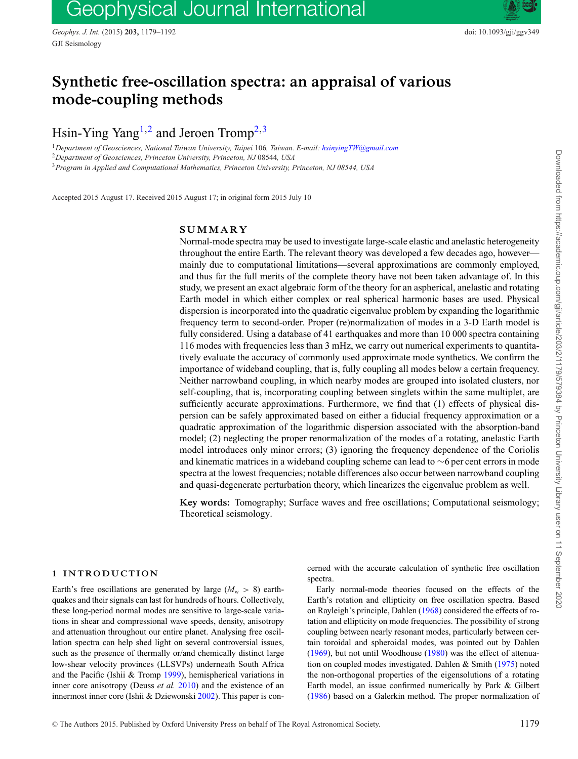# Geophysical Journal International

*Geophys. J. Int.* (2015) **203,** 1179–1192 doi: 10.1093/gji/ggv349 GJI Seismology

## **Synthetic free-oscillation spectra: an appraisal of various mode-coupling methods**

Hsin-Ying Yang<sup>1,[2](#page-0-1)</sup> and Jeroen Tromp<sup>[2,](#page-0-1)[3](#page-0-2)</sup>

<span id="page-0-0"></span><sup>1</sup>*Department of Geosciences, National Taiwan University, Taipei* 106*, Taiwan. E-mail: [hsinyingTW@gmail.com](mailto:hsinyingTW@gmail.com)* <sup>2</sup>*Department of Geosciences, Princeton University, Princeton, NJ* 08544*, USA*

<span id="page-0-2"></span><span id="page-0-1"></span><sup>3</sup>*Program in Applied and Computational Mathematics, Princeton University, Princeton, NJ 08544, USA*

Accepted 2015 August 17. Received 2015 August 17; in original form 2015 July 10

## **SUMMARY**

Normal-mode spectra may be used to investigate large-scale elastic and anelastic heterogeneity throughout the entire Earth. The relevant theory was developed a few decades ago, however mainly due to computational limitations—several approximations are commonly employed, and thus far the full merits of the complete theory have not been taken advantage of. In this study, we present an exact algebraic form of the theory for an aspherical, anelastic and rotating Earth model in which either complex or real spherical harmonic bases are used. Physical dispersion is incorporated into the quadratic eigenvalue problem by expanding the logarithmic frequency term to second-order. Proper (re)normalization of modes in a 3-D Earth model is fully considered. Using a database of 41 earthquakes and more than 10 000 spectra containing 116 modes with frequencies less than 3 mHz, we carry out numerical experiments to quantitatively evaluate the accuracy of commonly used approximate mode synthetics. We confirm the importance of wideband coupling, that is, fully coupling all modes below a certain frequency. Neither narrowband coupling, in which nearby modes are grouped into isolated clusters, nor self-coupling, that is, incorporating coupling between singlets within the same multiplet, are sufficiently accurate approximations. Furthermore, we find that (1) effects of physical dispersion can be safely approximated based on either a fiducial frequency approximation or a quadratic approximation of the logarithmic dispersion associated with the absorption-band model; (2) neglecting the proper renormalization of the modes of a rotating, anelastic Earth model introduces only minor errors; (3) ignoring the frequency dependence of the Coriolis and kinematic matrices in a wideband coupling scheme can lead to ∼6 per cent errors in mode spectra at the lowest frequencies; notable differences also occur between narrowband coupling and quasi-degenerate perturbation theory, which linearizes the eigenvalue problem as well.

**Key words:** Tomography; Surface waves and free oscillations; Computational seismology; Theoretical seismology.

### **1 INTRODUCTION**

Earth's free oscillations are generated by large  $(M_w > 8)$  earthquakes and their signals can last for hundreds of hours. Collectively, these long-period normal modes are sensitive to large-scale variations in shear and compressional wave speeds, density, anisotropy and attenuation throughout our entire planet. Analysing free oscillation spectra can help shed light on several controversial issues, such as the presence of thermally or/and chemically distinct large low-shear velocity provinces (LLSVPs) underneath South Africa and the Pacific (Ishii & Tromp [1999\)](#page-11-0), hemispherical variations in inner core anisotropy (Deuss *et al.* [2010\)](#page-11-1) and the existence of an innermost inner core (Ishii & Dziewonski [2002\)](#page-11-2). This paper is concerned with the accurate calculation of synthetic free oscillation spectra.

Early normal-mode theories focused on the effects of the Earth's rotation and ellipticity on free oscillation spectra. Based on Rayleigh's principle, Dahlen [\(1968\)](#page-11-3) considered the effects of rotation and ellipticity on mode frequencies. The possibility of strong coupling between nearly resonant modes, particularly between certain toroidal and spheroidal modes, was pointed out by Dahlen [\(1969\)](#page-11-4), but not until Woodhouse [\(1980\)](#page-12-0) was the effect of attenuation on coupled modes investigated. Dahlen & Smith [\(1975\)](#page-11-5) noted the non-orthogonal properties of the eigensolutions of a rotating Earth model, an issue confirmed numerically by Park & Gilbert [\(1986\)](#page-12-1) based on a Galerkin method. The proper normalization of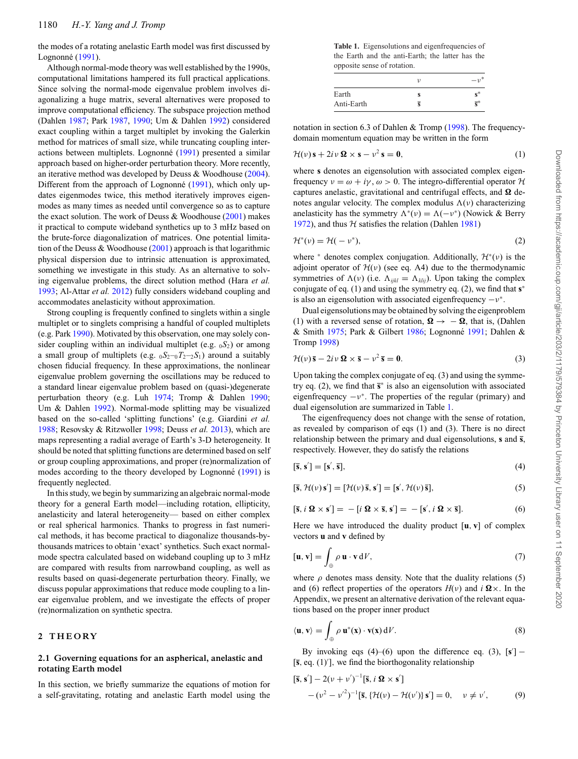the modes of a rotating anelastic Earth model was first discussed by Lognonné ([1991\)](#page-11-6).

Although normal-mode theory was well established by the 1990s, computational limitations hampered its full practical applications. Since solving the normal-mode eigenvalue problem involves diagonalizing a huge matrix, several alternatives were proposed to improve computational efficiency. The subspace projection method (Dahlen [1987;](#page-11-7) Park [1987,](#page-12-2) [1990;](#page-12-3) Um & Dahlen [1992\)](#page-12-4) considered exact coupling within a target multiplet by invoking the Galerkin method for matrices of small size, while truncating coupling inter-actions between multiplets. Lognonné ([1991\)](#page-11-6) presented a similar approach based on higher-order perturbation theory. More recently, an iterative method was developed by Deuss & Woodhouse [\(2004\)](#page-11-8). Different from the approach of Lognonné ([1991\)](#page-11-6), which only updates eigenmodes twice, this method iteratively improves eigenmodes as many times as needed until convergence so as to capture the exact solution. The work of Deuss & Woodhouse [\(2001\)](#page-11-9) makes it practical to compute wideband synthetics up to 3 mHz based on the brute-force diagonalization of matrices. One potential limitation of the Deuss & Woodhouse [\(2001\)](#page-11-9) approach is that logarithmic physical dispersion due to intrinsic attenuation is approximated, something we investigate in this study. As an alternative to solving eigenvalue problems, the direct solution method (Hara *et al.* [1993;](#page-11-10) Al-Attar *et al.* [2012\)](#page-11-11) fully considers wideband coupling and accommodates anelasticity without approximation.

Strong coupling is frequently confined to singlets within a single multiplet or to singlets comprising a handful of coupled multiplets (e.g. Park [1990\)](#page-12-3). Motivated by this observation, one may solely consider coupling within an individual multiplet (e.g. <sup>0</sup>*S*2) or among a small group of multiplets (e.g.  $_0S_2$ - $_0T_2$ - $_2S_1$ ) around a suitably chosen fiducial frequency. In these approximations, the nonlinear eigenvalue problem governing the oscillations may be reduced to a standard linear eigenvalue problem based on (quasi-)degenerate perturbation theory (e.g. Luh [1974;](#page-11-12) Tromp & Dahlen [1990;](#page-12-5) Um & Dahlen [1992\)](#page-12-4). Normal-mode splitting may be visualized based on the so-called 'splitting functions' (e.g. Giardini *et al.* [1988;](#page-11-13) Resovsky & Ritzwoller [1998;](#page-12-6) Deuss *et al.* [2013\)](#page-11-14), which are maps representing a radial average of Earth's 3-D heterogeneity. It should be noted that splitting functions are determined based on self or group coupling approximations, and proper (re)normalization of modes according to the theory developed by Lognonné ([1991\)](#page-11-6) is frequently neglected.

In this study, we begin by summarizing an algebraic normal-mode theory for a general Earth model—including rotation, ellipticity, anelasticity and lateral heterogeneity— based on either complex or real spherical harmonics. Thanks to progress in fast numerical methods, it has become practical to diagonalize thousands-bythousands matrices to obtain 'exact' synthetics. Such exact normalmode spectra calculated based on wideband coupling up to 3 mHz are compared with results from narrowband coupling, as well as results based on quasi-degenerate perturbation theory. Finally, we discuss popular approximations that reduce mode coupling to a linear eigenvalue problem, and we investigate the effects of proper (re)normalization on synthetic spectra.

## **2 TH EORY**

## **2.1 Governing equations for an aspherical, anelastic and rotating Earth model**

In this section, we briefly summarize the equations of motion for a self-gravitating, rotating and anelastic Earth model using the

<span id="page-1-0"></span>**Table 1.** Eigensolutions and eigenfrequencies of the Earth and the anti-Earth; the latter has the opposite sense of rotation.

|                     | $-1$                                        |
|---------------------|---------------------------------------------|
| Earth<br>Anti-Earth | $\mathbf{e}^*$<br>$\overline{\mathbf{c}}^*$ |

notation in section 6.3 of Dahlen & Tromp [\(1998\)](#page-11-15). The frequencydomain momentum equation may be written in the form

$$
\mathcal{H}(\nu)\,\mathbf{s} + 2i\,\nu\,\mathbf{\Omega} \times \mathbf{s} - \nu^2\,\mathbf{s} = \mathbf{0},\tag{1}
$$

where **s** denotes an eigensolution with associated complex eigenfrequency  $v = \omega + i\gamma$ ,  $\omega > 0$ . The integro-differential operator H captures anelastic, gravitational and centrifugal effects, and  $\Omega$  denotes angular velocity. The complex modulus  $\Lambda(v)$  characterizing anelasticity has the symmetry  $\Lambda^*(v) = \Lambda(-v^*)$  (Nowick & Berry [1972\)](#page-12-7), and thus  $H$  satisfies the relation (Dahlen [1981\)](#page-11-16)

$$
\mathcal{H}^*(\nu) = \mathcal{H}(-\nu^*),\tag{2}
$$

where  $*$  denotes complex conjugation. Additionally,  $\mathcal{H}^*(v)$  is the adjoint operator of  $\mathcal{H}(\nu)$  (see eq. A4) due to the thermodynamic symmetries of  $\Lambda(v)$  (i.e.  $\Lambda_{ijkl} = \Lambda_{klij}$ ). Upon taking the complex conjugate of eq. (1) and using the symmetry eq. (2), we find that **s**<sup>∗</sup> is also an eigensolution with associated eigenfrequency  $-v^*$ .

Dual eigensolutions may be obtained by solving the eigenproblem (1) with a reversed sense of rotation,  $\Omega \rightarrow -\Omega$ , that is, (Dahlen  $&$  Smith [1975;](#page-11-5) Park  $&$  Gilbert [1986;](#page-12-1) Lognonné [1991;](#page-11-6) Dahlen  $&$ Tromp [1998\)](#page-11-15)

$$
\mathcal{H}(\nu)\,\bar{\mathbf{s}} - 2i\,\nu\,\mathbf{\Omega} \times \bar{\mathbf{s}} - \nu^2\,\bar{\mathbf{s}} = \mathbf{0}.\tag{3}
$$

Upon taking the complex conjugate of eq. (3) and using the symmetry eq. (2), we find that **s** <sup>∗</sup> is also an eigensolution with associated eigenfrequency  $-v^*$ . The properties of the regular (primary) and dual eigensolution are summarized in Table [1.](#page-1-0)

The eigenfrequency does not change with the sense of rotation, as revealed by comparison of eqs (1) and (3). There is no direct relationship between the primary and dual eigensolutions, **s** and **s**, respectively. However, they do satisfy the relations

$$
[\overline{\mathbf{s}}, \mathbf{s}'] = [\mathbf{s}', \overline{\mathbf{s}}],\tag{4}
$$

$$
[\overline{\mathbf{s}}, \mathcal{H}(\nu)\mathbf{s}'] = [\mathcal{H}(\nu)\overline{\mathbf{s}}, \mathbf{s}'] = [\mathbf{s}', \mathcal{H}(\nu)\overline{\mathbf{s}}],
$$
\n(5)

$$
[\bar{\mathbf{s}}, i \ \mathbf{\Omega} \times \mathbf{s}'] = -[i \ \mathbf{\Omega} \times \bar{\mathbf{s}}, \mathbf{s}'] = -[\mathbf{s}', i \ \mathbf{\Omega} \times \bar{\mathbf{s}}]. \tag{6}
$$

Here we have introduced the duality product [**u**, **v**] of complex vectors **u** and **v** defined by

$$
[\mathbf{u}, \mathbf{v}] = \int_{\oplus} \rho \, \mathbf{u} \cdot \mathbf{v} \, \mathrm{d}V,\tag{7}
$$

where  $\rho$  denotes mass density. Note that the duality relations (5) and (6) reflect properties of the operators  $H(v)$  and  $i \Omega \times$ . In the Appendix, we present an alternative derivation of the relevant equations based on the proper inner product

$$
\langle \mathbf{u}, \mathbf{v} \rangle = \int_{\oplus} \rho \, \mathbf{u}^*(\mathbf{x}) \cdot \mathbf{v}(\mathbf{x}) \, dV. \tag{8}
$$

By invoking eqs  $(4)$ – $(6)$  upon the difference eq.  $(3)$ ,  $[s']$  – [**s**, eq. (1) ], we find the biorthogonality relationship

$$
\begin{aligned} \left[\overline{\mathbf{s}}, \mathbf{s}'\right] - 2(\nu + \nu')^{-1} \left[\overline{\mathbf{s}}, i \ \mathbf{\Omega} \times \mathbf{s}'\right] \\ - (\nu^2 - \nu'^2)^{-1} \left[\overline{\mathbf{s}}, \left\{\mathcal{H}(\nu) - \mathcal{H}(\nu')\right\} \mathbf{s}'\right] = 0, \quad \nu \neq \nu', \end{aligned} \tag{9}
$$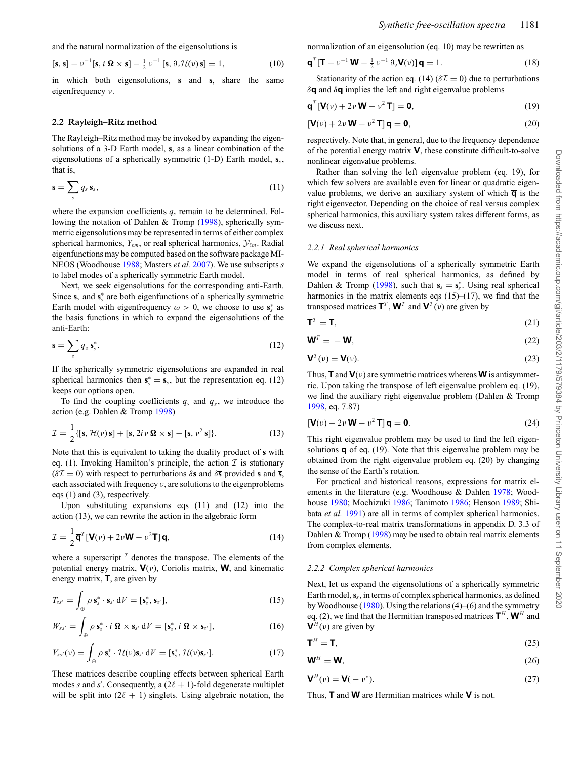$$
[\mathbf{\bar{s}}, \mathbf{s}] - \nu^{-1}[\mathbf{\bar{s}}, i \mathbf{\Omega} \times \mathbf{s}] - \frac{1}{2} \nu^{-1}[\mathbf{\bar{s}}, \partial_{\nu} \mathcal{H}(\nu) \mathbf{s}] = 1, \tag{10}
$$

in which both eigensolutions, **s** and **s**, share the same eigenfrequency ν.

#### **2.2 Rayleigh–Ritz method**

The Rayleigh–Ritz method may be invoked by expanding the eigensolutions of a 3-D Earth model, **s**, as a linear combination of the eigensolutions of a spherically symmetric (1-D) Earth model, **s***s*, that is,

$$
\mathbf{s} = \sum_{s} q_s \, \mathbf{s}_s,\tag{11}
$$

where the expansion coefficients  $q_s$  remain to be determined. Following the notation of Dahlen & Tromp [\(1998\)](#page-11-15), spherically symmetric eigensolutions may be represented in terms of either complex spherical harmonics,  $Y_{\ell m}$ , or real spherical harmonics,  $\mathcal{Y}_{\ell m}$ . Radial eigenfunctions may be computed based on the software package MI-NEOS (Woodhouse [1988;](#page-12-8) Masters *et al.* [2007\)](#page-11-17). We use subscripts *s* to label modes of a spherically symmetric Earth model.

Next, we seek eigensolutions for the corresponding anti-Earth. Since  $s_s$  and  $s_s^*$  are both eigenfunctions of a spherically symmetric Earth model with eigenfrequency  $\omega > 0$ , we choose to use  $\mathbf{s}_s^*$  as the basis functions in which to expand the eigensolutions of the anti-Earth:

$$
\overline{\mathbf{s}} = \sum_{s} \overline{q}_{s} \, \mathbf{s}_{s}^{*}.\tag{12}
$$

If the spherically symmetric eigensolutions are expanded in real spherical harmonics then  $s_s^* = s_s$ , but the representation eq. (12) keeps our options open.

To find the coupling coefficients  $q_s$  and  $\overline{q}_s$ , we introduce the action (e.g. Dahlen & Tromp [1998\)](#page-11-15)

$$
\mathcal{I} = \frac{1}{2} \{ [\overline{\mathbf{s}}, \mathcal{H}(\nu) \mathbf{s}] + [\overline{\mathbf{s}}, 2i\nu \mathbf{\Omega} \times \mathbf{s}] - [\overline{\mathbf{s}}, \nu^2 \mathbf{s}] \}.
$$
 (13)

Note that this is equivalent to taking the duality product of **s** with eq. (1). Invoking Hamilton's principle, the action  $\mathcal I$  is stationary  $(\delta \mathcal{I} = 0)$  with respect to perturbations  $\delta$ **s** and  $\delta \bar{\mathbf{s}}$  provided **s** and **s**, each associated with frequency  $\nu$ , are solutions to the eigenproblems eqs (1) and (3), respectively.

Upon substituting expansions eqs (11) and (12) into the action (13), we can rewrite the action in the algebraic form

$$
\mathcal{I} = \frac{1}{2}\overline{\mathbf{q}}^T[\mathbf{V}(\nu) + 2\nu\mathbf{W} - \nu^2\mathbf{T}]\mathbf{q},\tag{14}
$$

where a superscript  $<sup>T</sup>$  denotes the transpose. The elements of the</sup> potential energy matrix,  $V(v)$ , Coriolis matrix,  $W$ , and kinematic energy matrix, **T**, are given by

$$
T_{ss'} = \int_{\oplus} \rho \, \mathbf{s}_s^* \cdot \mathbf{s}_{s'} \, dV = [\mathbf{s}_s^*, \, \mathbf{s}_{s'}], \tag{15}
$$

$$
W_{ss'} = \int_{\oplus} \rho \, \mathbf{s}_s^* \cdot i \, \mathbf{\Omega} \times \mathbf{s}_{s'} \, \mathrm{d}V = [\mathbf{s}_s^*, i \, \mathbf{\Omega} \times \mathbf{s}_{s'}], \tag{16}
$$

$$
V_{ss'}(\nu) = \int_{\oplus} \rho \, \mathbf{s}_s^* \cdot \mathcal{H}(\nu) \mathbf{s}_{s'} \, dV = [\mathbf{s}_s^*, \mathcal{H}(\nu) \mathbf{s}_{s'}]. \tag{17}
$$

These matrices describe coupling effects between spherical Earth modes *s* and *s'*. Consequently, a  $(2\ell + 1)$ -fold degenerate multiplet will be split into  $(2\ell + 1)$  singlets. Using algebraic notation, the

normalization of an eigensolution (eq. 10) may be rewritten as

$$
\overline{\mathbf{q}}^{T}[\mathbf{T} - \nu^{-1}\mathbf{W} - \frac{1}{2}\nu^{-1}\partial_{\nu}\mathbf{V}(\nu)]\mathbf{q} = 1.
$$
 (18)

Stationarity of the action eq. (14) ( $\delta \mathcal{I} = 0$ ) due to perturbations  $\delta$ **q** and  $\delta \overline{q}$  implies the left and right eigenvalue problems

$$
\overline{\mathbf{q}}^T[\mathbf{V}(\nu) + 2\nu \mathbf{W} - \nu^2 \mathbf{T}] = \mathbf{0},\tag{19}
$$

$$
\left[\mathbf{V}(\nu) + 2\nu \mathbf{W} - \nu^2 \mathbf{T}\right] \mathbf{q} = \mathbf{0},\tag{20}
$$

respectively. Note that, in general, due to the frequency dependence of the potential energy matrix **V**, these constitute difficult-to-solve nonlinear eigenvalue problems.

Rather than solving the left eigenvalue problem (eq. 19), for which few solvers are available even for linear or quadratic eigenvalue problems, we derive an auxiliary system of which  $\overline{q}$  is the right eigenvector. Depending on the choice of real versus complex spherical harmonics, this auxiliary system takes different forms, as we discuss next.

#### *2.2.1 Real spherical harmonics*

We expand the eigensolutions of a spherically symmetric Earth model in terms of real spherical harmonics, as defined by Dahlen & Tromp [\(1998\)](#page-11-15), such that  $\mathbf{s}_s = \mathbf{s}_s^*$ . Using real spherical harmonics in the matrix elements eqs  $(15)$ – $(17)$ , we find that the transposed matrices  $T^T$ ,  $W^T$  and  $V^T(v)$  are given by

$$
\mathbf{T}^T = \mathbf{T},\tag{21}
$$

$$
\mathbf{W}^T = -\mathbf{W},\tag{22}
$$

$$
\mathbf{V}^T(\nu) = \mathbf{V}(\nu). \tag{23}
$$

Thus, **T** and  $\mathbf{V}(v)$  are symmetric matrices whereas **W** is antisymmetric. Upon taking the transpose of left eigenvalue problem eq. (19), we find the auxiliary right eigenvalue problem (Dahlen & Tromp [1998,](#page-11-15) eq. 7.87)

$$
[\mathbf{V}(\nu) - 2\nu \mathbf{W} - \nu^2 \mathbf{T}] \overline{\mathbf{q}} = \mathbf{0}.
$$
 (24)

This right eigenvalue problem may be used to find the left eigensolutions  $\overline{q}$  of eq. (19). Note that this eigenvalue problem may be obtained from the right eigenvalue problem eq. (20) by changing the sense of the Earth's rotation.

For practical and historical reasons, expressions for matrix elements in the literature (e.g. Woodhouse & Dahlen [1978;](#page-12-9) Woodhouse [1980;](#page-12-0) Mochizuki [1986;](#page-12-10) Tanimoto [1986;](#page-12-11) Henson [1989;](#page-11-18) Shibata *et al.* [1991\)](#page-12-12) are all in terms of complex spherical harmonics. The complex-to-real matrix transformations in appendix D. 3.3 of Dahlen & Tromp [\(1998\)](#page-11-15) may be used to obtain real matrix elements from complex elements.

#### *2.2.2 Complex spherical harmonics*

Next, let us expand the eigensolutions of a spherically symmetric Earth model,**s***s*, in terms of complex spherical harmonics, as defined by Woodhouse [\(1980\)](#page-12-0). Using the relations (4)–(6) and the symmetry eq. (2), we find that the Hermitian transposed matrices  $\mathbf{T}^H$ ,  $\mathbf{W}^H$  and  ${\bf V}^H(v)$  are given by

$$
\mathbf{T}^H = \mathbf{T},\tag{25}
$$

$$
\mathbf{W}^H = \mathbf{W},\tag{26}
$$

$$
\mathbf{V}^H(\mathbf{v}) = \mathbf{V}(-\mathbf{v}^*). \tag{27}
$$

Thus, **T** and **W** are Hermitian matrices while **V** is not.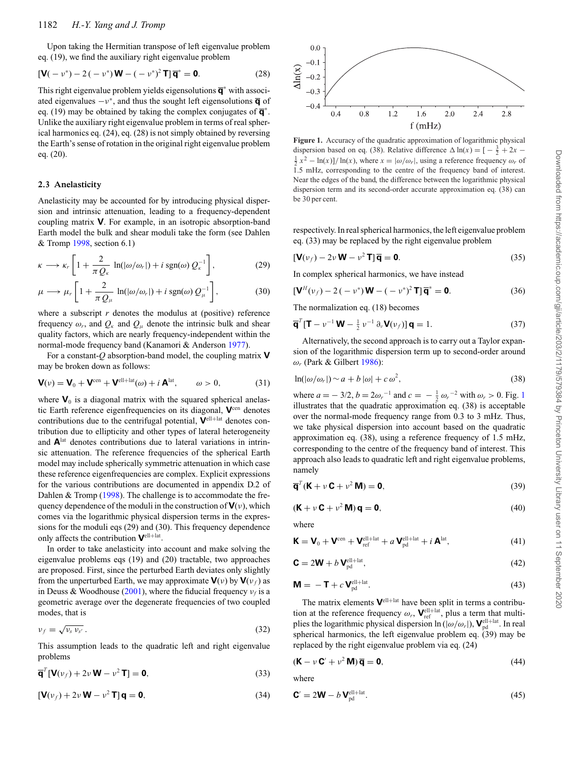Upon taking the Hermitian transpose of left eigenvalue problem eq. (19), we find the auxiliary right eigenvalue problem

$$
\left[\mathbf{V}(-\nu^*) - 2\left(-\nu^*\right)\mathbf{W} - (-\nu^*)^2\mathbf{T}\right]\overline{\mathbf{q}}^* = \mathbf{0}.\tag{28}
$$

This right eigenvalue problem yields eigensolutions **q**<sup>∗</sup> with associated eigenvalues  $-v^*$ , and thus the sought left eigensolutions  $\overline{q}$  of eq. (19) may be obtained by taking the complex conjugates of **q**<sup>∗</sup> . Unlike the auxiliary right eigenvalue problem in terms of real spherical harmonics eq. (24), eq. (28) is not simply obtained by reversing the Earth's sense of rotation in the original right eigenvalue problem eq. (20).

#### **2.3 Anelasticity**

Anelasticity may be accounted for by introducing physical dispersion and intrinsic attenuation, leading to a frequency-dependent coupling matrix **V**. For example, in an isotropic absorption-band Earth model the bulk and shear moduli take the form (see Dahlen & Tromp [1998,](#page-11-15) section 6.1)

$$
\kappa \longrightarrow \kappa_r \left[ 1 + \frac{2}{\pi Q_\kappa} \ln(|\omega/\omega_r|) + i \operatorname{sgn}(\omega) Q_\kappa^{-1} \right],\tag{29}
$$

$$
\mu \longrightarrow \mu_r \left[ 1 + \frac{2}{\pi Q_\mu} \ln(|\omega/\omega_r|) + i \operatorname{sgn}(\omega) Q_\mu^{-1} \right],\tag{30}
$$

where a subscript  $r$  denotes the modulus at (positive) reference frequency  $\omega_r$ , and  $Q_k$  and  $Q_\mu$  denote the intrinsic bulk and shear quality factors, which are nearly frequency-independent within the normal-mode frequency band (Kanamori & Anderson [1977\)](#page-11-19).

For a constant-*Q* absorption-band model, the coupling matrix **V** may be broken down as follows:

$$
\mathbf{V}(v) = \mathbf{V}_0 + \mathbf{V}^{\text{cen}} + \mathbf{V}^{\text{ell+lat}}(\omega) + i \mathbf{A}^{\text{lat}}, \qquad \omega > 0,
$$
 (31)

where  $\mathbf{V}_0$  is a diagonal matrix with the squared spherical anelastic Earth reference eigenfrequencies on its diagonal, **V**cen denotes contributions due to the centrifugal potential,  $V^{\text{ell+lat}}$  denotes contribution due to ellipticity and other types of lateral heterogeneity and **A**lat denotes contributions due to lateral variations in intrinsic attenuation. The reference frequencies of the spherical Earth model may include spherically symmetric attenuation in which case these reference eigenfrequencies are complex. Explicit expressions for the various contributions are documented in appendix D.2 of Dahlen & Tromp [\(1998\)](#page-11-15). The challenge is to accommodate the frequency dependence of the moduli in the construction of  $V(v)$ , which comes via the logarithmic physical dispersion terms in the expressions for the moduli eqs (29) and (30). This frequency dependence only affects the contribution **V**ell<sup>+</sup>lat.

In order to take anelasticity into account and make solving the eigenvalue problems eqs (19) and (20) tractable, two approaches are proposed. First, since the perturbed Earth deviates only slightly from the unperturbed Earth, we may approximate  $\mathbf{V}(v)$  by  $\mathbf{V}(v_f)$  as in Deuss & Woodhouse [\(2001\)](#page-11-9), where the fiducial frequency  $v_f$  is a geometric average over the degenerate frequencies of two coupled modes, that is

$$
\nu_f = \sqrt{\nu_s \nu_{s'}}. \tag{32}
$$

This assumption leads to the quadratic left and right eigenvalue problems

$$
\overline{\mathbf{q}}^T [\mathbf{V}(\nu_f) + 2\nu \mathbf{W} - \nu^2 \mathbf{T}] = \mathbf{0},\tag{33}
$$

$$
[\mathbf{V}(\nu_f) + 2\nu \mathbf{W} - \nu^2 \mathbf{T}] \mathbf{q} = \mathbf{0},\tag{34}
$$

<span id="page-3-0"></span>

Figure 1. Accuracy of the quadratic approximation of logarithmic physical dispersion based on eq. (38). Relative difference  $\Delta \ln(x) = \left[-\frac{3}{2} + 2x - \frac{1}{2}x^2 - \ln(x)\right]/\ln(x)$  where  $x = |\omega/\omega|$ , using a reference frequency  $\omega$ , of  $\frac{1}{2}x^2 - \ln(x)$ ]/ ln(*x*), where  $x = |\omega/\omega_r|$ , using a reference frequency  $\omega_r$  of 1.5 mHz, corresponding to the centre of the frequency band of interest. Near the edges of the band, the difference between the logarithmic physical dispersion term and its second-order accurate approximation eq. (38) can be 30 per cent.

respectively. In real spherical harmonics, the left eigenvalue problem eq. (33) may be replaced by the right eigenvalue problem

$$
[\mathbf{V}(\nu_f) - 2\nu \mathbf{W} - \nu^2 \mathbf{T}] \overline{\mathbf{q}} = \mathbf{0}.
$$
 (35)

In complex spherical harmonics, we have instead

$$
\left[\mathbf{V}^{H}(\nu_{f}) - 2\left(-\nu^{*}\right)\mathbf{W} - \left(-\nu^{*}\right)^{2}\mathbf{T}\right]\overline{\mathbf{q}}^{*} = \mathbf{0}.\tag{36}
$$

The normalization eq. (18) becomes

$$
\overline{\mathbf{q}}^{T}[\mathbf{T} - \nu^{-1}\mathbf{W} - \frac{1}{2}\nu^{-1}\partial_{\nu}\mathbf{V}(\nu_{f})]\mathbf{q} = 1.
$$
 (37)

Alternatively, the second approach is to carry out a Taylor expansion of the logarithmic dispersion term up to second-order around ω*<sup>r</sup>* (Park & Gilbert [1986\)](#page-12-1):

$$
\ln(|\omega/\omega_r|) \sim a + b |\omega| + c \omega^2, \tag{38}
$$

where  $a = -3/2$ ,  $b = 2\omega_r^{-1}$  $b = 2\omega_r^{-1}$  $b = 2\omega_r^{-1}$  and  $c = -\frac{1}{2}\omega_r^{-2}$  with  $\omega_r > 0$ . Fig. 1 illustrates that the quadratic approximation eq. (38) is acceptable over the normal-mode frequency range from 0.3 to 3 mHz. Thus, we take physical dispersion into account based on the quadratic approximation eq. (38), using a reference frequency of 1.5 mHz, corresponding to the centre of the frequency band of interest. This approach also leads to quadratic left and right eigenvalue problems, namely

$$
\overline{\mathbf{q}}^T (\mathbf{K} + \nu \mathbf{C} + \nu^2 \mathbf{M}) = \mathbf{0},\tag{39}
$$

$$
(\mathbf{K} + \nu \mathbf{C} + \nu^2 \mathbf{M})\mathbf{q} = \mathbf{0},\tag{40}
$$

where

$$
\mathbf{K} = \mathbf{V}_0 + \mathbf{V}^{\text{cen}} + \mathbf{V}_{\text{ref}}^{\text{ell} + \text{lat}} + a \mathbf{V}_{\text{pd}}^{\text{ell} + \text{lat}} + i \mathbf{A}^{\text{lat}},
$$
(41)

$$
\mathbf{C} = 2\mathbf{W} + b\mathbf{V}_{\text{pd}}^{\text{ell}+\text{lat}},\tag{42}
$$

$$
\mathbf{M} = -\mathbf{T} + c\mathbf{V}_{\text{pd}}^{\text{ell}+\text{lat}}.
$$
 (43)

The matrix elements **V**ell+lat have been split in terms a contribution at the reference frequency  $\omega_r$ ,  $\mathbf{V}_{\text{ref}}^{\text{ell+lat}}$ , plus a term that multiplies the logarithmic physical dispersion  $\ln(|\omega/\omega_r|)$ ,  $\mathbf{V}_{pd}^{\text{ell+lat}}$ . In real spherical harmonics, the left eigenvalue problem eq. (39) may be replaced by the right eigenvalue problem via eq. (24)

$$
(\mathbf{K} - \nu \mathbf{C}' + \nu^2 \mathbf{M}) \overline{\mathbf{q}} = \mathbf{0},\tag{44}
$$

where

$$
\mathbf{C}' = 2\mathbf{W} - b\mathbf{V}_{\mathrm{pd}}^{\mathrm{ell} + \mathrm{lat}}.\tag{45}
$$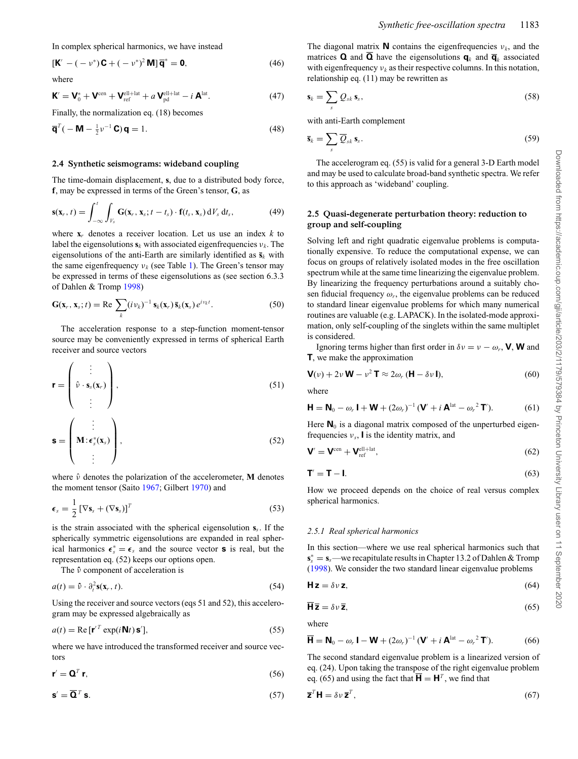In complex spherical harmonics, we have instead

$$
\left[\mathbf{K}' - \left(-v^*\right)\mathbf{C} + \left(-v^*\right)^2 \mathbf{M}\right]\overline{\mathbf{q}}^* = \mathbf{0},\tag{46}
$$

where

$$
\mathbf{K}' = \mathbf{V}_0^* + \mathbf{V}^{\text{cen}} + \mathbf{V}_{\text{ref}}^{\text{ell} + \text{lat}} + a \mathbf{V}_{\text{pd}}^{\text{ell} + \text{lat}} - i \mathbf{A}^{\text{lat}}.
$$
 (47)

Finally, the normalization eq. (18) becomes

$$
\overline{\mathbf{q}}^T(-\mathbf{M} - \frac{1}{2}\nu^{-1}\mathbf{C})\mathbf{q} = 1.
$$
 (48)

#### **2.4 Synthetic seismograms: wideband coupling**

The time-domain displacement, **s**, due to a distributed body force, **f**, may be expressed in terms of the Green's tensor, **G**, as

$$
\mathbf{s}(\mathbf{x}_r, t) = \int_{-\infty}^t \int_{V_s} \mathbf{G}(\mathbf{x}_r, \mathbf{x}_s; t - t_s) \cdot \mathbf{f}(t_s, \mathbf{x}_s) dV_s dt_s, \qquad (49)
$$

where  $\mathbf{x}_r$  denotes a receiver location. Let us use an index  $k$  to label the eigensolutions  $\mathbf{s}_k$  with associated eigenfrequencies  $v_k$ . The eigensolutions of the anti-Earth are similarly identified as  $\bar{\mathbf{s}}_k$  with the same eigenfrequency  $v_k$  (see Table [1\)](#page-1-0). The Green's tensor may be expressed in terms of these eigensolutions as (see section 6.3.3 of Dahlen & Tromp [1998\)](#page-11-15)

$$
\mathbf{G}(\mathbf{x}_r, \mathbf{x}_s; t) = \text{Re} \sum_k (i v_k)^{-1} \mathbf{s}_k(\mathbf{x}_r) \overline{\mathbf{s}}_k(\mathbf{x}_s) e^{i v_k t}.
$$
 (50)

The acceleration response to a step-function moment-tensor source may be conveniently expressed in terms of spherical Earth receiver and source vectors

$$
\mathbf{r} = \begin{pmatrix} \vdots \\ \hat{v} \cdot \mathbf{s}_s(\mathbf{x}_r) \\ \vdots \end{pmatrix},
$$
\n
$$
\mathbf{s} = \begin{pmatrix} \vdots \\ \mathbf{M} \cdot \mathbf{\epsilon}_s^*(\mathbf{x}_s) \\ \vdots \end{pmatrix},
$$
\n(51)

where ν denotes the polarization of the accelerometer, **M** denotes the moment tensor (Saito [1967;](#page-12-13) Gilbert [1970\)](#page-11-20) and

$$
\boldsymbol{\epsilon}_s = \frac{1}{2} \left[ \nabla \mathbf{s}_s + (\nabla \mathbf{s}_s) \right]^T \tag{53}
$$

is the strain associated with the spherical eigensolution **s***s*. If the spherically symmetric eigensolutions are expanded in real spherical harmonics  $\epsilon_s^* = \epsilon_s$  and the source vector **s** is real, but the representation eq. (52) keeps our options open.

The ν<sup>ρ</sup> component of acceleration is

$$
a(t) = \hat{\nu} \cdot \partial_t^2 \mathbf{s}(\mathbf{x}_r, t). \tag{54}
$$

Using the receiver and source vectors (eqs 51 and 52), this accelerogram may be expressed algebraically as

$$
a(t) = \text{Re} \left[ \mathbf{r}'^T \exp(i\mathbf{N}t) \mathbf{s}' \right],\tag{55}
$$

where we have introduced the transformed receiver and source vectors

$$
\mathbf{r}' = \mathbf{Q}^T \mathbf{r},\tag{56}
$$

$$
\mathbf{s}' = \overline{\mathbf{Q}}^T \mathbf{s}.\tag{57}
$$

The diagonal matrix **N** contains the eigenfrequencies  $v_k$ , and the matrices **Q** and **Q** have the eigensolutions  $\mathbf{q}_k$  and  $\overline{\mathbf{q}}_k$  associated with eigenfrequency  $v_k$  as their respective columns. In this notation, relationship eq. (11) may be rewritten as

$$
\mathbf{s}_k = \sum_s \mathcal{Q}_{sk} \, \mathbf{s}_s,\tag{58}
$$

with anti-Earth complement

$$
\overline{\mathbf{s}}_k = \sum_s \overline{Q}_{sk} \mathbf{s}_s. \tag{59}
$$

The accelerogram eq. (55) is valid for a general 3-D Earth model and may be used to calculate broad-band synthetic spectra. We refer to this approach as 'wideband' coupling.

### **2.5 Quasi-degenerate perturbation theory: reduction to group and self-coupling**

Solving left and right quadratic eigenvalue problems is computationally expensive. To reduce the computational expense, we can focus on groups of relatively isolated modes in the free oscillation spectrum while at the same time linearizing the eigenvalue problem. By linearizing the frequency perturbations around a suitably chosen fiducial frequency  $\omega_r$ , the eigenvalue problems can be reduced to standard linear eigenvalue problems for which many numerical routines are valuable (e.g. LAPACK). In the isolated-mode approximation, only self-coupling of the singlets within the same multiplet is considered.

Ignoring terms higher than first order in  $\delta v = v - \omega_r$ , **V**, **W** and **T**, we make the approximation

**V**(*v*) + 2*v* **W** − *v*<sup>2</sup> **T**  $\approx$  2 $\omega_r$  (**H** −  $\delta v$  **I**), (60)

where

$$
\mathbf{H} = \mathbf{N}_0 - \omega_r \, \mathbf{I} + \mathbf{W} + (2\omega_r)^{-1} \, (\mathbf{V}' + i \, \mathbf{A}^{\text{lat}} - \omega_r^2 \, \mathbf{T}'). \tag{61}
$$

Here  $N_0$  is a diagonal matrix composed of the unperturbed eigenfrequencies ν*s*, **I** is the identity matrix, and

$$
\mathbf{V}' = \mathbf{V}^{\text{cen}} + \mathbf{V}_{\text{ref}}^{\text{ell} + \text{lat}},\tag{62}
$$

$$
\mathbf{T}' = \mathbf{T} - \mathbf{I}.\tag{63}
$$

How we proceed depends on the choice of real versus complex spherical harmonics.

#### *2.5.1 Real spherical harmonics*

In this section—where we use real spherical harmonics such that **s**∗ *<sup>s</sup>* = **s***s*—we recapitulate results in Chapter 13.2 of Dahlen & Tromp [\(1998\)](#page-11-15). We consider the two standard linear eigenvalue problems

$$
Hz = \delta \nu z, \tag{64}
$$

$$
\overline{\mathbf{H}}\,\overline{\mathbf{z}} = \delta v\,\overline{\mathbf{z}},\tag{65}
$$

where

$$
\overline{\mathbf{H}} = \mathbf{N}_0 - \omega_r \mathbf{I} - \mathbf{W} + (2\omega_r)^{-1} (\mathbf{V}' + i \mathbf{A}^{\text{lat}} - {\omega_r}^2 \mathbf{T}'). \tag{66}
$$

The second standard eigenvalue problem is a linearized version of eq. (24). Upon taking the transpose of the right eigenvalue problem eq. (65) and using the fact that  $H = H<sup>T</sup>$ , we find that

$$
\overline{\mathbf{z}}^T \mathbf{H} = \delta v \, \overline{\mathbf{z}}^T,\tag{67}
$$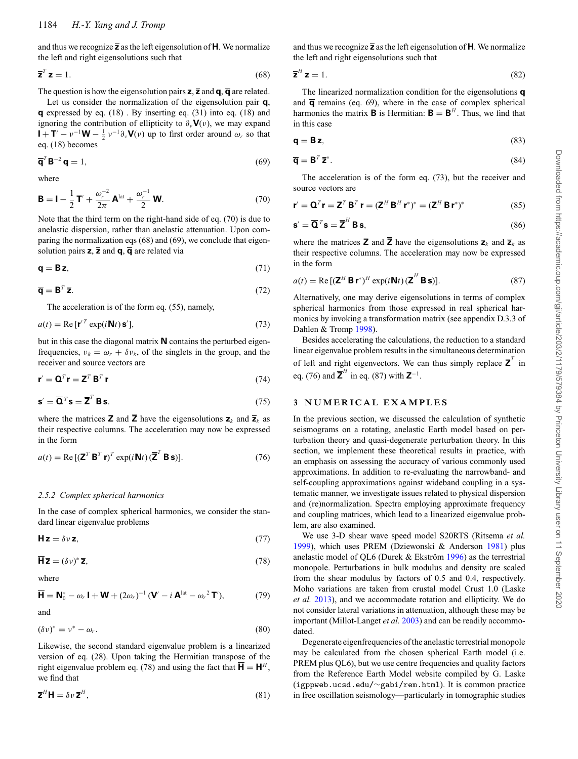and thus we recognize **z** as the left eigensolution of **H**. We normalize the left and right eigensolutions such that

$$
\overline{\mathbf{z}}^T \mathbf{z} = 1. \tag{68}
$$

The question is how the eigensolution pairs  $\mathbf{z}$ ,  $\overline{\mathbf{z}}$  and  $\mathbf{q}$ ,  $\overline{\mathbf{q}}$  are related.

Let us consider the normalization of the eigensolution pair **q**, **q** expressed by eq. (18) . By inserting eq. (31) into eq. (18) and ignoring the contribution of ellipticity to  $\partial_{\nu}V(\nu)$ , we may expand  $\mathbf{I} + \mathbf{T}' - \nu^{-1}\mathbf{W} - \frac{1}{2}\nu^{-1}\partial_{\nu}\mathbf{V}(\nu)$  up to first order around  $\omega_r$  so that eq. (18) becomes

$$
\overline{\mathbf{q}}^T \mathbf{B}^{-2} \mathbf{q} = 1,\tag{69}
$$

where

$$
\mathbf{B} = \mathbf{I} - \frac{1}{2}\mathbf{T}' + \frac{\omega_r^{-2}}{2\pi}\mathbf{A}^{\text{lat}} + \frac{\omega_r^{-1}}{2}\mathbf{W}.
$$
 (70)

Note that the third term on the right-hand side of eq. (70) is due to anelastic dispersion, rather than anelastic attenuation. Upon comparing the normalization eqs (68) and (69), we conclude that eigensolution pairs  $\overline{z}$ ,  $\overline{z}$  and  $\overline{q}$ ,  $\overline{q}$  are related via

$$
\mathbf{q} = \mathbf{B} \mathbf{z},\tag{71}
$$

$$
\overline{\mathbf{q}} = \mathbf{B}^T \overline{\mathbf{z}}.\tag{72}
$$

The acceleration is of the form eq. (55), namely,

$$
a(t) = \text{Re}[\mathbf{r}'^T \exp(i\mathbf{N}t)\mathbf{s}'], \tag{73}
$$

but in this case the diagonal matrix **N** contains the perturbed eigenfrequencies,  $v_k = \omega_r + \delta v_k$ , of the singlets in the group, and the receiver and source vectors are

$$
\mathbf{r}' = \mathbf{Q}^T \mathbf{r} = \mathbf{Z}^T \mathbf{B}^T \mathbf{r}
$$
 (74)

$$
\mathbf{s}' = \overline{\mathbf{Q}}^T \mathbf{s} = \overline{\mathbf{Z}}^T \mathbf{B} \mathbf{s}.
$$
 (75)

where the matrices **Z** and  $\overline{\mathbf{Z}}$  have the eigensolutions  $\mathbf{z}_k$  and  $\overline{\mathbf{z}}_k$  as their respective columns. The acceleration may now be expressed in the form

$$
a(t) = \text{Re}[(\mathbf{Z}^T \mathbf{B}^T \mathbf{r})^T \exp(i\mathbf{N}t)(\overline{\mathbf{Z}}^T \mathbf{B} \mathbf{s})].
$$
 (76)

#### *2.5.2 Complex spherical harmonics*

In the case of complex spherical harmonics, we consider the standard linear eigenvalue problems

$$
Hz = \delta v z, \tag{77}
$$

$$
\overline{\mathbf{H}}\overline{\mathbf{z}} = (\delta v)^* \overline{\mathbf{z}},\tag{78}
$$

where

$$
\overline{\mathbf{H}} = \mathbf{N}_0^* - \omega_r \mathbf{I} + \mathbf{W} + (2\omega_r)^{-1} (\mathbf{V}' - i \mathbf{A}^{\text{lat}} - \omega_r^2 \mathbf{T}'), \tag{79}
$$

and

$$
(\delta v)^* = v^* - \omega_r. \tag{80}
$$

Likewise, the second standard eigenvalue problem is a linearized version of eq. (28). Upon taking the Hermitian transpose of the right eigenvalue problem eq. (78) and using the fact that  $H = H<sup>H</sup>$ , we find that

$$
\overline{\mathbf{z}}^H \mathbf{H} = \delta v \, \overline{\mathbf{z}}^H,\tag{81}
$$

and thus we recognize **z** as the left eigensolution of **H**. We normalize the left and right eigensolutions such that

$$
\overline{\mathbf{z}}^H \mathbf{z} = 1. \tag{82}
$$

The linearized normalization condition for the eigensolutions **q** and  $\overline{\mathbf{q}}$  remains (eq. 69), where in the case of complex spherical harmonics the matrix **B** is Hermitian:  $\mathbf{B} = \mathbf{B}^H$ . Thus, we find that in this case

$$
\mathbf{q} = \mathbf{B} \mathbf{z},\tag{83}
$$

$$
\overline{\mathbf{q}} = \mathbf{B}^T \overline{\mathbf{z}}^*.
$$
 (84)

The acceleration is of the form eq. (73), but the receiver and source vectors are

$$
\mathbf{r}' = \mathbf{Q}^T \mathbf{r} = \mathbf{Z}^T \mathbf{B}^T \mathbf{r} = (\mathbf{Z}^H \mathbf{B}^H \mathbf{r}^*)^* = (\mathbf{Z}^H \mathbf{B} \mathbf{r}^*)^*
$$
(85)

$$
\mathbf{s}' = \overline{\mathbf{Q}}^T \mathbf{s} = \overline{\mathbf{Z}}^H \mathbf{B} \mathbf{s},\tag{86}
$$

where the matrices **Z** and  $\overline{Z}$  have the eigensolutions  $z_k$  and  $\overline{z}_k$  as their respective columns. The acceleration may now be expressed in the form

$$
a(t) = \text{Re}\left[ (\mathbf{Z}^H \mathbf{B} \mathbf{r}^*)^H \exp(i \mathbf{N} t) (\overline{\mathbf{Z}}^H \mathbf{B} \mathbf{s}) \right].
$$
 (87)

Alternatively, one may derive eigensolutions in terms of complex spherical harmonics from those expressed in real spherical harmonics by invoking a transformation matrix (see appendix D.3.3 of Dahlen & Tromp [1998\)](#page-11-15).

Besides accelerating the calculations, the reduction to a standard linear eigenvalue problem results in the simultaneous determination of left and right eigenvectors. We can thus simply replace  $\overline{Z}^T$  in eq. (76) and  $\overline{\mathbf{Z}}^H$  in eq. (87) with  $\mathbf{Z}^{-1}$ .

## **3 NUMERICAL EXAMPLES**

In the previous section, we discussed the calculation of synthetic seismograms on a rotating, anelastic Earth model based on perturbation theory and quasi-degenerate perturbation theory. In this section, we implement these theoretical results in practice, with an emphasis on assessing the accuracy of various commonly used approximations. In addition to re-evaluating the narrowband- and self-coupling approximations against wideband coupling in a systematic manner, we investigate issues related to physical dispersion and (re)normalization. Spectra employing approximate frequency and coupling matrices, which lead to a linearized eigenvalue problem, are also examined.

We us[e](#page-6-0) 3-D shear wave speed model S20RTS (Ritsema *et al.* [1999\)](#page-12-14), which uses PREM (Dziewonski & Anderson [1981\)](#page-11-21) plus anelastic model of QL6 (Durek  $&$  Ekström [1996\)](#page-11-22) as the terrestrial monopole. Perturbations in bulk modulus and density are scaled from the shear modulus by factors of 0.5 and 0.4, respectively. Moho variations are taken from crustal model Crust 1.0 (Laske *et al.* [2013\)](#page-11-23), and we accommodate rotation and ellipticity. We do not consider lateral variations in attenuation, although these may be important (Millot-Langet *et al.* [2003\)](#page-11-24) and can be readily accommodated.

Degenerate eigenfrequencies of the anelastic terrestrial monopole may be calculated from the chosen spherical Earth model (i.e. PREM plus QL6), but we use centre frequencies and quality factors from the Reference Earth Model website compiled by G. Laske (igppweb.ucsd.edu/∼gabi/rem.html). It is common practice in free oscillation seismology—particularly in tomographic studies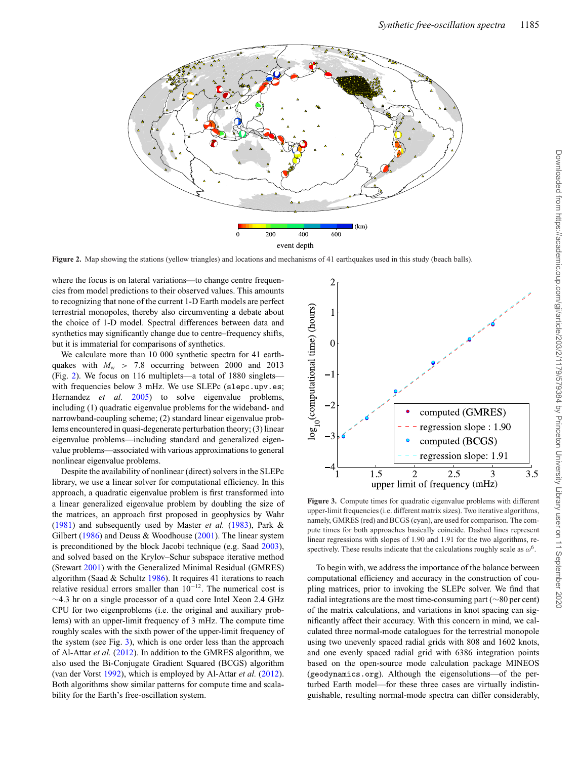<span id="page-6-0"></span>

**Figure 2.** Map showing the stations (yellow triangles) and locations and mechanisms of 41 earthquakes used in this study (beach balls).

where the focus is on lateral variations—to change centre frequencies from model predictions to their observed values. This amounts to recognizing that none of the current 1-D Earth models are perfect terrestrial monopoles, thereby also circumventing a debate about the choice of 1-D model. Spectral differences between data and synthetics may significantly change due to centre–frequency shifts, but it is immaterial for comparisons of synthetics.

We calculate more than 10 000 synthetic spectra for 41 earthquakes with  $M_w > 7.8$  occurring between 2000 and 2013 (Fig. [2\)](#page-6-0). We focus on 116 multiplets—a total of 1880 singlets with frequencies below 3 mHz. We use SLEPc (slepc.upv.es; Hernandez *et al.* [2005\)](#page-11-25) to solve eigenvalue problems, including (1) quadratic eigenvalue problems for the wideband- and narrowband-coupling scheme; (2) standard linear eigenvalue problems encountered in quasi-degenerate perturbation theory; (3) linear eigenvalue problems—including standard and generalized eigenvalue problems—associated with various approximations to general nonlinear eigenvalue problems.

Despite the availability of nonlinear (direct) solvers in the SLEPc library, we use a linear solver for computational efficiency. In this approach, a quadratic eigenvalue problem is first transformed into a linear generalized eigenvalue problem by doubling the size of the matrices, an approach first proposed in geophysics by Wahr [\(1981\)](#page-12-15) and subsequently used by Master *et al.* [\(1983\)](#page-11-26), Park & Gilbert [\(1986\)](#page-12-1) and Deuss & Woodhouse [\(2001\)](#page-11-9). The linear system is preconditioned by the block Jacobi technique (e.g. Saad [2003\)](#page-12-16), and solved based on the Krylov–Schur subspace iterative method (Stewart [2001\)](#page-12-17) with the Generalized Minimal Residual (GMRES) algorithm (Saad & Schultz [1986\)](#page-12-18). It requires 41 iterations to reach relative residual errors smaller than 10<sup>−</sup>12. The numerical cost is ∼4.3 hr on a single processor of a quad core Intel Xeon 2.4 GHz CPU for two eigenproblems (i.e. the original and auxiliary problems) with an upper-limit frequency of 3 mHz. The compute time roughly scales with the sixth power of the upper-limit frequency of the system (see Fig. [3\)](#page-6-1), which is one order less than the approach of Al-Attar *et al.* [\(2012\)](#page-11-11). In addition to the GMRES algorithm, we also used the Bi-Conjugate Gradient Squared (BCGS) algorithm (van der Vorst [1992\)](#page-12-19), which is employed by Al-Attar *et al.* [\(2012\)](#page-11-11). Both algorithms show similar patterns for compute time and scalability for the Earth's free-oscillation system[.](#page-7-0)

<span id="page-6-1"></span>

**Figure 3.** Compute times for quadratic eigenvalue problems with different upper-limit frequencies (i.e. different matrix sizes). Two iterative algorithms, namely, GMRES (red) and BCGS (cyan), are used for comparison. The compute times for both approaches basically coincide. Dashed lines represent linear regressions with slopes of 1.90 and 1.91 for the two algorithms, respectively. These results indicate that the calculations roughly scale as  $\omega^6$ .

To begin with, we address the importance of the balance between computational efficiency and accuracy in the construction of coupling matrices, prior to invoking the SLEPc solver. We find that radial integrations are the most time-consuming part (∼80 per cent) of the matrix calculations, and variations in knot spacing can significantly affect their accuracy. With this concern in mind, we calculated three normal-mode catalogues for the terrestrial monopole using two unevenly spaced radial grids with 808 and 1602 knots, and one evenly spaced radial grid with 6386 integration points based on the open-source mode calculation package MINEOS (geodynamics.org). Although the eigensolutions—of the perturbed Earth model—for these three cases are virtually indistinguishable, resulting normal-mode spectra can differ considerably,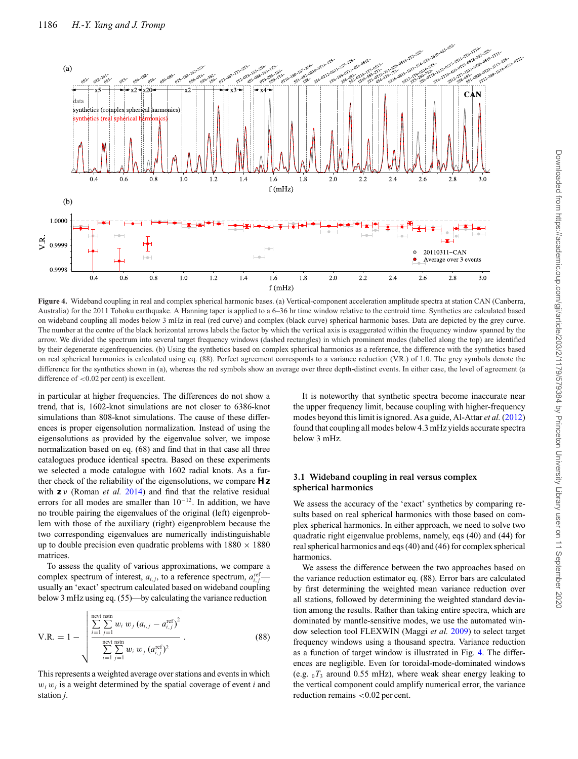<span id="page-7-0"></span>

**Figure 4.** Wideband coupling in real and complex spherical harmonic bases. (a) Vertical-component acceleration amplitude spectra at station CAN (Canberra, Australia) for the 2011 Tohoku earthquake. A Hanning taper is applied to a 6–36 hr time window relative to the centroid time. Synthetics are calculated based on wideband coupling all modes below 3 mHz in real (red curve) and complex (black curve) spherical harmonic bases. Data are depicted by the grey curve. The number at the centre of the black horizontal arrows labels the factor by which the vertical axis is exaggerated within the frequency window spanned by the arrow. We divided the spectrum into several target frequency windows (dashed rectangles) in which prominent modes (labelled along the top) are identified by their degenerate eigenfrequencies. (b) Using the synthetics based on complex spherical harmonics as a reference, the difference with the synthetics based on real spherical harmonics is calculated using eq. (88). Perfect agreement corresponds to a variance reduction (V.R.) of 1.0. The grey symbols denote the difference for the synthetics shown in (a), whereas the red symbols show an average over three depth-distinct events. In either case, the level of agreement (a difference of <0.02 per cent) is excellent.

in particular at higher frequencies. The differences do not show a trend, that is, 1602-knot simulations are not closer to 6386-knot simulations than 808-knot simulations. The cause of these differences is proper eigensolution normalization. Instead of using the eigensolutions as provided by the eigenvalue solver, we impose normalization based on eq. (68) and find that in that case all three catalogues produce identical spectra. Based on these experiments we selected a mode catalogue with 1602 radial knots. As a further check of the reliability of the eigensolutions, we compare **H z** with **z** ν (Roman *et al.* [2014\)](#page-12-20) and find that the relative residual errors for all modes are smaller than 10<sup>−</sup>12. In addition, we have no trouble pairing the eigenvalues of the original (left) eigenproblem with those of the auxiliary (right) eigenproblem because the two corresponding eigenvalues are numerically indistinguishable up to double precision even quadratic problems with  $1880 \times 1880$ matrices.

To assess the quality of various approximations, we compare a complex spectrum of interest,  $a_{i,j}$ , to a reference spectrum,  $a_{i,j}^{\text{ref}}$ usually an 'exact' spectrum calculated based on wideband coupling below 3 mHz using eq. (55)—by calculating the variance reduction

$$
\text{V.R.} = 1 - \sqrt{\sum_{i=1}^{\text{next}} \sum_{j=1}^{\text{short}} w_i w_j (a_{i,j} - a_{i,j}^{\text{ref}})^2 \over \sum_{i=1}^{\text{next}} \sum_{j=1}^{\text{start}} w_i w_j (a_{i,j}^{\text{ref}})^2} .
$$
 (88)

This represents a weighted average over stations and events in which  $w_i w_j$  is a weight determined by the spatial coverage of event *i* and station *j*.

It is noteworthy that synthetic spectra become inaccurate near the upper frequency limit, because coupling with higher-frequency modes beyond this limit is ignored. As a guide, Al-Attar *et al.* [\(2012\)](#page-11-11) found that coupling all modes below 4.3 mHz yields accurate spectra below 3 mHz.

## **3.1 Wideband coupling in real versus complex spherical harmonics**

We assess the accuracy of the 'exact' synthetics by comparing results based on real spherical harmonics with those based on complex spherical harmonics. In either approach, we need to solve two quadratic right eigenvalue problems, namely, eqs (40) and (44) for real spherical harmonics and eqs (40) and (46) for complex spherical harmonics.

We assess the difference between the two approaches based on the variance reduction estimator eq. (88). Error bars are calculated by first determining the weighted mean variance reduction over all stations, followed by determining the weighted standard deviation among the results. Rather than taking entire spectra, which are dominated by mantle-sensitive modes, we use the automated window selection tool FLEXWIN (Maggi *et al.* [2009\)](#page-11-27) to select target frequency windows using a thousand spectra. Variance reduction as a function of target window is illustrated in Fig. [4.](#page-7-0) The differences are negligible. Even for toroidal-mode-dominated windows (e.g.  ${}_{0}T_{3}$  around 0.55 mHz), where weak shear energy leaking to the vertical component could amplify numerical error, the variance reduction remains <0.02 per cent.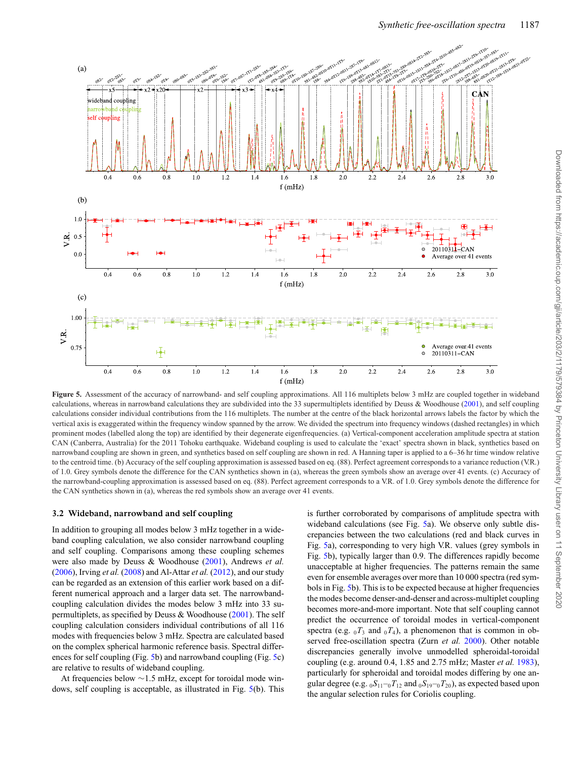<span id="page-8-0"></span>

**Figure 5.** Assessment of the accuracy of narrowband- and self coupling approximations. All 116 multiplets below 3 mHz are coupled together in wideband calculations, whereas in narrowband calculations they are subdivided into the 33 supermultiplets identified by Deuss & Woodhouse [\(2001\)](#page-11-9), and self coupling calculations consider individual contributions from the 116 multiplets. The number at the centre of the black horizontal arrows labels the factor by which the vertical axis is exaggerated within the frequency window spanned by the arrow. We divided the spectrum into frequency windows (dashed rectangles) in which prominent modes (labelled along the top) are identified by their degenerate eigenfrequencies. (a) Vertical-component acceleration amplitude spectra at station CAN (Canberra, Australia) for the 2011 Tohoku earthquake. Wideband coupling is used to calculate the 'exact' spectra shown in black, synthetics based on narrowband coupling are shown in green, and synthetics based on self coupling are shown in red. A Hanning taper is applied to a 6–36 hr time window relative to the centroid time. (b) Accuracy of the self coupling approximation is assessed based on eq. (88). Perfect agreement corresponds to a variance reduction (V.R.) of 1.0. Grey symbols denote the difference for the CAN synthetics shown in (a), whereas the green symbols show an average over 41 events. (c) Accuracy of the narrowband-coupling approximation is assessed based on eq. (88). Perfect agreement corresponds to a V.R. of 1.0. Grey symbols denote the difference for the CAN synthetics shown in (a), whereas the red symbols show an average over 41 events.

#### **3.2 Wideband, narrowband and self coupling**

In addition to grouping all modes below 3 mHz together in a wideband coupling calculation, we also consider narrowband coupling and self coupling. Comparisons among these coupling schemes were also made by Deuss & Woodhouse [\(2001\)](#page-11-9), Andrews *et al.* [\(2006\)](#page-11-28), Irving *et al.* [\(2008\)](#page-11-29) and Al-Attar *et al.* [\(2012\)](#page-11-11), and our study can be regarded as an extension of this earlier work based on a different numerical approach and a larger data set. The narrowbandcoupling calculation divides the modes below 3 mHz into 33 supermultiplets, as specified by Deuss & Woodhouse [\(2001\)](#page-11-9). The self coupling calculation considers individual contributions of all 116 modes with frequencies below 3 mHz. Spectra are calculated based on the complex spherical harmonic reference basis. Spectral differences for self coupling (Fig. [5b](#page-8-0)) and narrowband coupling (Fig. [5c](#page-8-0)) are relative to results of wideband coupling[.](#page-9-0)

At frequencies below ∼1.5 mHz, except for toroidal mode windows, self coupling is acceptable, as illustrated in Fig. [5\(](#page-8-0)b). This is further corroborated by comparisons of amplitude spectra with wideband calculations (see Fig. [5a](#page-8-0)). We observe only subtle discrepancies between the two calculations (red and black curves in Fig. [5a](#page-8-0)), corresponding to very high V.R. values (grey symbols in Fig. [5b](#page-8-0)), typically larger than 0.9. The differences rapidly become unacceptable at higher frequencies. The patterns remain the same even for ensemble averages over more than 10 000 spectra (red symbols in Fig. [5b](#page-8-0)). This is to be expected because at higher frequencies the modes become denser-and-denser and across-multiplet coupling becomes more-and-more important. Note that self coupling cannot predict the occurrence of toroidal modes in vertical-component spectra (e.g.  $_0T_3$  and  $_0T_4$ ), a phenomenon that is common in observed free-oscillation spectra (Zurn *et al.* [2000\)](#page-12-21). Other notable discrepancies generally involve unmodelled spheroidal-toroidal coupling (e.g. around 0.4, 1.85 and 2.75 mHz; Master *et al.* [1983\)](#page-11-26), particularly for spheroidal and toroidal modes differing by one angular degree (e.g.  ${}_0S_{11}$ – ${}_0T_{12}$  and  ${}_0S_{19}$ – ${}_0T_{20}$ ), as expected based upon the angular selection rules for Coriolis coupling.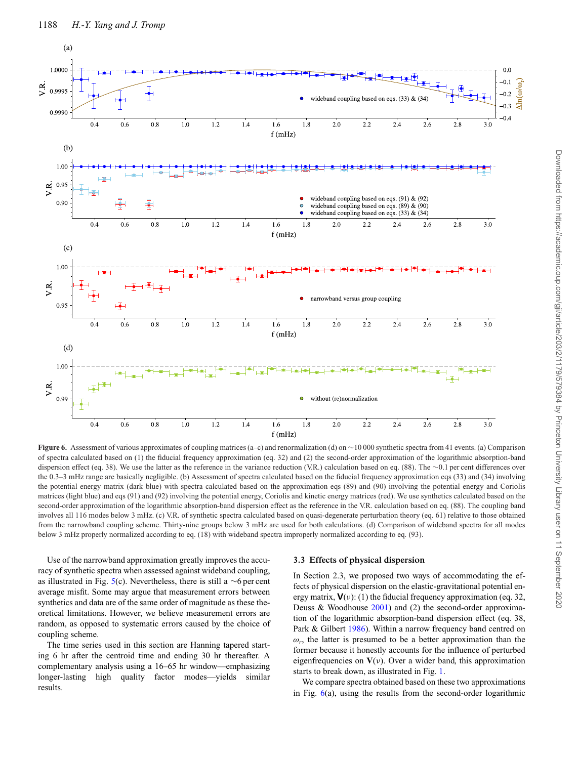<span id="page-9-0"></span>

**Figure 6.** Assessment of various approximates of coupling matrices (a–c) and renormalization (d) on ~10 000 synthetic spectra from 41 events. (a) Comparison of spectra calculated based on (1) the fiducial frequency approximation (eq. 32) and (2) the second-order approximation of the logarithmic absorption-band dispersion effect (eq. 38). We use the latter as the reference in the variance reduction (V.R.) calculation based on eq. (88). The ∼0.1 per cent differences over the 0.3–3 mHz range are basically negligible. (b) Assessment of spectra calculated based on the fiducial frequency approximation eqs (33) and (34) involving the potential energy matrix (dark blue) with spectra calculated based on the approximation eqs (89) and (90) involving the potential energy and Coriolis matrices (light blue) and eqs (91) and (92) involving the potential energy, Coriolis and kinetic energy matrices (red). We use synthetics calculated based on the second-order approximation of the logarithmic absorption-band dispersion effect as the reference in the V.R. calculation based on eq. (88). The coupling band involves all 116 modes below 3 mHz. (c) V.R. of synthetic spectra calculated based on quasi-degenerate perturbation theory (eq. 61) relative to those obtained from the narrowband coupling scheme. Thirty-nine groups below 3 mHz are used for both calculations. (d) Comparison of wideband spectra for all modes below 3 mHz properly normalized according to eq. (18) with wideband spectra improperly normalized according to eq. (93).

Use of the narrowband approximation greatly improves the accuracy of synthetic spectra when assessed against wideband coupling, as illustrated in Fig. [5\(](#page-8-0)c). Nevertheless, there is still a  $\sim$ 6 per cent average misfit. Some may argue that measurement errors between synthetics and data are of the same order of magnitude as these theoretical limitations. However, we believe measurement errors are random, as opposed to systematic errors caused by the choice of coupling scheme.

The time series used in this section are Hanning tapered starting 6 hr after the centroid time and ending 30 hr thereafter. A complementary analysis using a 16–65 hr window—emphasizing longer-lasting high quality factor modes—yields similar results.

#### **3.3 Effects of physical dispersion**

In Section 2.3, we proposed two ways of accommodating the effects of physical dispersion on the elastic-gravitational potential energy matrix,  $V(v)$ : (1) the fiducial frequency approximation (eq. 32, Deuss & Woodhouse [2001\)](#page-11-9) and (2) the second-order approximation of the logarithmic absorption-band dispersion effect (eq. 38, Park & Gilbert [1986\)](#page-12-1). Within a narrow frequency band centred on  $\omega_r$ , the latter is presumed to be a better approximation than the former because it honestly accounts for the influence of perturbed eigenfrequencies on  $V(v)$ . Over a wider band, this approximation starts to break down, as illustrated in Fig. [1.](#page-3-0)

We compare spectra obtained based on these two approximations in Fig.  $6(a)$  $6(a)$ , using the results from the second-order logarithmic

 $\Lambda$ In( $\omega/\omega$ )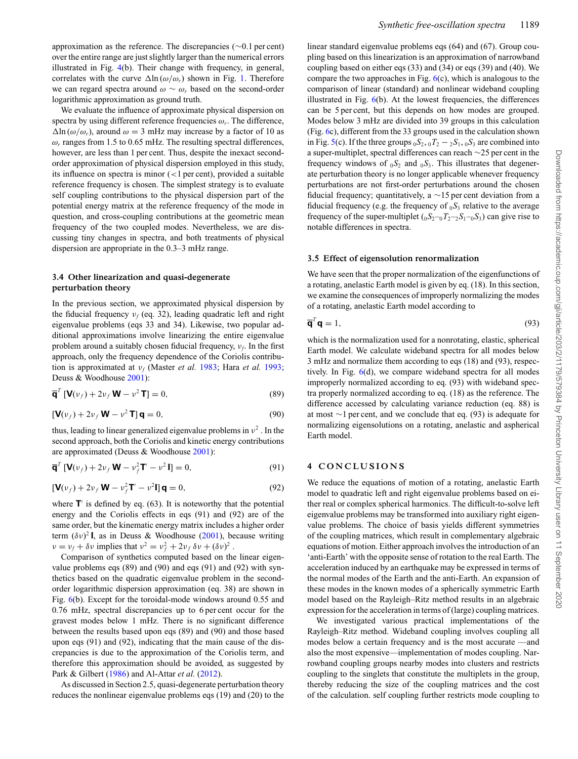approximation as the reference. The discrepancies (∼0.1 per cent) over the entire range are just slightly larger than the numerical errors illustrated in Fig. [4\(](#page-7-0)b). Their change with frequency, in general, correlates with the curve  $\Delta \ln(\omega/\omega_r)$  shown in Fig. [1.](#page-3-0) Therefore we can regard spectra around  $\omega \sim \omega_r$  based on the second-order logarithmic approximation as ground truth.

We evaluate the influence of approximate physical dispersion on spectra by using different reference frequencies  $\omega_r$ . The difference,  $\Delta$ ln ( $\omega/\omega_r$ ), around  $\omega = 3$  mHz may increase by a factor of 10 as  $\omega_r$  ranges from 1.5 to 0.65 mHz. The resulting spectral differences, however, are less than 1 per cent. Thus, despite the inexact secondorder approximation of physical dispersion employed in this study, its influence on spectra is minor  $\left($  < 1 per cent), provided a suitable reference frequency is chosen. The simplest strategy is to evaluate self coupling contributions to the physical dispersion part of the potential energy matrix at the reference frequency of the mode in question, and cross-coupling contributions at the geometric mean frequency of the two coupled modes. Nevertheless, we are discussing tiny changes in spectra, and both treatments of physical dispersion are appropriate in the 0.3–3 mHz range.

## **3.4 Other linearization and quasi-degenerate perturbation theory**

In the previous section, we approximated physical dispersion by the fiducial frequency  $v_f$  (eq. 32), leading quadratic left and right eigenvalue problems (eqs 33 and 34). Likewise, two popular additional approximations involve linearizing the entire eigenvalue problem around a suitably chosen fiducial frequency, ν*f*. In the first approach, only the frequency dependence of the Coriolis contribution is approximated at ν*<sup>f</sup>* (Master *et al.* [1983;](#page-11-26) Hara *et al.* [1993;](#page-11-10) Deuss & Woodhouse [2001\)](#page-11-9):

$$
\overline{\mathbf{q}}^T \left[ \mathbf{V}(\nu_f) + 2\nu_f \mathbf{W} - \nu^2 \mathbf{T} \right] = 0, \tag{89}
$$

$$
\left[\mathbf{V}(\nu_f) + 2\nu_f \mathbf{W} - \nu^2 \mathbf{T}\right] \mathbf{q} = 0,\tag{90}
$$

thus, leading to linear generalized eigenvalue problems in  $v^2$ . In the second approach, both the Coriolis and kinetic energy contributions are approximated (Deuss & Woodhouse [2001\)](#page-11-9):

$$
\overline{\mathbf{q}}^T \left[ \mathbf{V}(\nu_f) + 2\nu_f \mathbf{W} - \nu_f^2 \mathbf{T}' - \nu^2 \mathbf{I} \right] = 0,
$$
\n(91)

$$
\left[\mathbf{V}(v_f) + 2v_f \mathbf{W} - v_f^2 \mathbf{T}' - v^2 \mathbf{I}\right] \mathbf{q} = 0, \tag{92}
$$

where  $\mathbf{T}'$  is defined by eq. (63). It is noteworthy that the potential energy and the Coriolis effects in eqs (91) and (92) are of the same order, but the kinematic energy matrix includes a higher order term  $(\delta v)^2$ **I**, as in Deuss & Woodhouse [\(2001\)](#page-11-9), because writing  $v = v_f + \delta v$  implies that  $v^2 = v_f^2 + 2v_f \delta v + (\delta v)^2$ .

Comparison of synthetics computed based on the linear eigenvalue problems eqs (89) and (90) and eqs (91) and (92) with synthetics based on the quadratic eigenvalue problem in the secondorder logarithmic dispersion approximation (eq. 38) are shown in Fig. [6\(](#page-9-0)b). Except for the toroidal-mode windows around 0.55 and 0.76 mHz, spectral discrepancies up to 6 per cent occur for the gravest modes below 1 mHz. There is no significant difference between the results based upon eqs (89) and (90) and those based upon eqs (91) and (92), indicating that the main cause of the discrepancies is due to the approximation of the Coriolis term, and therefore this approximation should be avoided, as suggested by Park & Gilbert [\(1986\)](#page-12-1) and Al-Attar *et al.* [\(2012\)](#page-11-11).

As discussed in Section 2.5, quasi-degenerate perturbation theory reduces the nonlinear eigenvalue problems eqs (19) and (20) to the linear standard eigenvalue problems eqs (64) and (67). Group coupling based on this linearization is an approximation of narrowband coupling based on either eqs (33) and (34) or eqs (39) and (40). We compare the two approaches in Fig.  $6(c)$  $6(c)$ , which is analogous to the comparison of linear (standard) and nonlinear wideband coupling illustrated in Fig. [6\(](#page-9-0)b). At the lowest frequencies, the differences can be 5 per cent, but this depends on how modes are grouped. Modes below 3 mHz are divided into 39 groups in this calculation (Fig. [6c](#page-9-0)), different from the 33 groups used in the calculation shown in Fig. [5\(](#page-8-0)c). If the three groups  $_0S_2$ ,  $_0T_2 - _2S_1$ ,  $_0S_3$  are combined into a super-multiplet, spectral differences can reach ∼25 per cent in the frequency windows of  $_0S_2$  and  $_0S_3$ . This illustrates that degenerate perturbation theory is no longer applicable whenever frequency perturbations are not first-order perturbations around the chosen fiducial frequency; quantitatively, a  $\sim$ 15 per cent deviation from a fiducial frequency (e.g. the frequency of  $_0S_3$  relative to the average frequency of the super-multiplet  $(_0S_2 - 0T_2 - 2S_1 - 0S_3)$  can give rise to notable differences in spectra.

#### **3.5 Effect of eigensolution renormalization**

We have seen that the proper normalization of the eigenfunctions of a rotating, anelastic Earth model is given by eq. (18). In this section, we examine the consequences of improperly normalizing the modes of a rotating, anelastic Earth model according to

$$
\overline{\mathbf{q}}^T \mathbf{q} = 1,\tag{93}
$$

which is the normalization used for a nonrotating, elastic, spherical Earth model. We calculate wideband spectra for all modes below 3 mHz and normalize them according to eqs (18) and (93), respectively. In Fig. [6\(](#page-9-0)d), we compare wideband spectra for all modes improperly normalized according to eq. (93) with wideband spectra properly normalized according to eq. (18) as the reference. The difference accessed by calculating variance reduction (eq. 88) is at most ∼1 per cent, and we conclude that eq. (93) is adequate for normalizing eigensolutions on a rotating, anelastic and aspherical Earth model.

## **4 CONCLUSIONS**

We reduce the equations of motion of a rotating, anelastic Earth model to quadratic left and right eigenvalue problems based on either real or complex spherical harmonics. The difficult-to-solve left eigenvalue problems may be transformed into auxiliary right eigenvalue problems. The choice of basis yields different symmetries of the coupling matrices, which result in complementary algebraic equations of motion. Either approach involves the introduction of an 'anti-Earth' with the opposite sense of rotation to the real Earth. The acceleration induced by an earthquake may be expressed in terms of the normal modes of the Earth and the anti-Earth. An expansion of these modes in the known modes of a spherically symmetric Earth model based on the Rayleigh–Ritz method results in an algebraic expression for the acceleration in terms of (large) coupling matrices.

We investigated various practical implementations of the Rayleigh–Ritz method. Wideband coupling involves coupling all modes below a certain frequency and is the most accurate —and also the most expensive—implementation of modes coupling. Narrowband coupling groups nearby modes into clusters and restricts coupling to the singlets that constitute the multiplets in the group, thereby reducing the size of the coupling matrices and the cost of the calculation. self coupling further restricts mode coupling to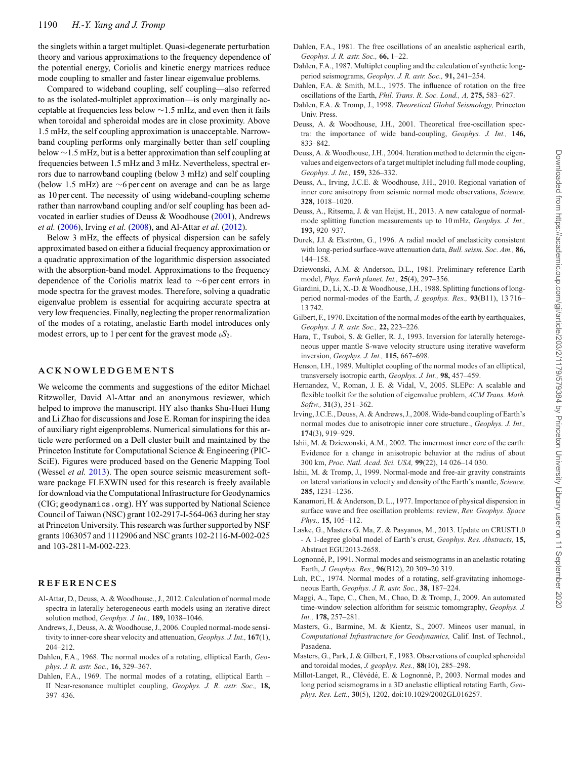the singlets within a target multiplet. Quasi-degenerate perturbation theory and various approximations to the frequency dependence of the potential energy, Coriolis and kinetic energy matrices reduce mode coupling to smaller and faster linear eigenvalue problems.

Compared to wideband coupling, self coupling—also referred to as the isolated-multiplet approximation—is only marginally acceptable at frequencies less below ∼1.5 mHz, and even then it fails when toroidal and spheroidal modes are in close proximity. Above 1.5 mHz, the self coupling approximation is unacceptable. Narrowband coupling performs only marginally better than self coupling below ∼1.5 mHz, but is a better approximation than self coupling at frequencies between 1.5 mHz and 3 mHz. Nevertheless, spectral errors due to narrowband coupling (below 3 mHz) and self coupling (below 1.5 mHz) are ∼6 per cent on average and can be as large as 10 per cent. The necessity of using wideband-coupling scheme rather than narrowband coupling and/or self coupling has been advocated in earlier studies of Deuss & Woodhouse [\(2001\)](#page-11-9), Andrews *et al.* [\(2006\)](#page-11-28), Irving *et al.* [\(2008\)](#page-11-29), and Al-Attar *et al.* [\(2012\)](#page-11-11).

Below 3 mHz, the effects of physical dispersion can be safely approximated based on either a fiducial frequency approximation or a quadratic approximation of the logarithmic dispersion associated with the absorption-band model. Approximations to the frequency dependence of the Coriolis matrix lead to ∼6 per cent errors in mode spectra for the gravest modes. Therefore, solving a quadratic eigenvalue problem is essential for acquiring accurate spectra at very low frequencies. Finally, neglecting the proper renormalization of the modes of a rotating, anelastic Earth model introduces only modest errors, up to 1 per cent for the gravest mode  $_0S_2$ .

## **ACKNOWLEDGEMENTS**

We welcome the comments and suggestions of the editor Michael Ritzwoller, David Al-Attar and an anonymous reviewer, which helped to improve the manuscript. HY also thanks Shu-Huei Hung and Li Zhao for discussions and Jose E. Roman for inspiring the idea of auxiliary right eigenproblems. Numerical simulations for this article were performed on a Dell cluster built and maintained by the Princeton Institute for Computational Science & Engineering (PIC-SciE). Figures were produced based on the Generic Mapping Tool (Wessel *et al.* [2013\)](#page-12-22). The open source seismic measurement software package FLEXWIN used for this research is freely available for download via the Computational Infrastructure for Geodynamics (CIG; geodynamics.org). HY was supported by National Science Council of Taiwan (NSC) grant 102-2917-I-564-063 during her stay at Princeton University. This research was further supported by NSF grants 1063057 and 1112906 and NSC grants 102-2116-M-002-025 and 103-2811-M-002-223.

## **REFERENCES**

- <span id="page-11-11"></span>Al-Attar, D., Deuss, A. & Woodhouse., J., 2012. Calculation of normal mode spectra in laterally heterogeneous earth models using an iterative direct solution method, *Geophys. J. Int.,* **189,** 1038–1046.
- <span id="page-11-28"></span>Andrews, J., Deuss, A. & Woodhouse, J., 2006. Coupled normal-mode sensitivity to inner-core shear velocity and attenuation, *Geophys. J. Int.,* **167**(1), 204–212.
- <span id="page-11-3"></span>Dahlen, F.A., 1968. The normal modes of a rotating, elliptical Earth, *Geophys. J. R. astr. Soc.,* **16,** 329–367.
- <span id="page-11-4"></span>Dahlen, F.A., 1969. The normal modes of a rotating, elliptical Earth – II Near-resonance multiplet coupling, *Geophys. J. R. astr. Soc.,* **18,** 397–436.
- <span id="page-11-16"></span>Dahlen, F.A., 1981. The free oscillations of an anealstic aspherical earth, *Geophys. J. R. astr. Soc.,* **66,** 1–22.
- <span id="page-11-7"></span>Dahlen, F.A., 1987. Multiplet coupling and the calculation of synthetic longperiod seismograms, *Geophys. J. R. astr. Soc.,* **91,** 241–254.
- <span id="page-11-5"></span>Dahlen, F.A. & Smith, M.L., 1975. The influence of rotation on the free oscillations of the Earth, *Phil. Trans. R. Soc. Lond., A,* **275,** 583–627.
- <span id="page-11-15"></span>Dahlen, F.A. & Tromp, J., 1998. *Theoretical Global Seismology,* Princeton Univ. Press.
- <span id="page-11-9"></span>Deuss, A. & Woodhouse, J.H., 2001. Theoretical free-oscillation spectra: the importance of wide band-coupling, *Geophys. J. Int.,* **146,** 833–842.
- <span id="page-11-8"></span>Deuss, A. & Woodhouse, J.H., 2004. Iteration method to determin the eigenvalues and eigenvectors of a target multiplet including full mode coupling, *Geophys. J. Int.,* **159,** 326–332.
- <span id="page-11-1"></span>Deuss, A., Irving, J.C.E. & Woodhouse, J.H., 2010. Regional variation of inner core anisotropy from seismic normal mode observations, *Science,* **328,** 1018–1020.
- <span id="page-11-14"></span>Deuss, A., Ritsema, J. & van Heijst, H., 2013. A new catalogue of normalmode splitting function measurements up to 10 mHz, *Geophys. J. Int.,* **193,** 920–937.
- <span id="page-11-22"></span>Durek, J.J. & Ekström, G., 1996. A radial model of anelasticity consistent with long-period surface-wave attenuation data, *Bull. seism. Soc. Am.,* **86,** 144–158.
- <span id="page-11-21"></span>Dziewonski, A.M. & Anderson, D.L., 1981. Preliminary reference Earth model, *Phys. Earth planet. Int.,* **25**(4), 297–356.
- <span id="page-11-13"></span>Giardini, D., Li, X.-D. & Woodhouse, J.H., 1988. Splitting functions of longperiod normal-modes of the Earth, *J. geophys. Res.,* **93**(B11), 13 716– 13 742.
- <span id="page-11-20"></span>Gilbert, F., 1970. Excitation of the normal modes of the earth by earthquakes, *Geophys. J. R. astr. Soc.,* **22,** 223–226.
- <span id="page-11-10"></span>Hara, T., Tsuboi, S. & Geller, R. J., 1993. Inversion for laterally heterogeneous upper mantle S-wave velocity structure using iterative waveform inversion, *Geophys. J. Int.,* **115,** 667–698.
- <span id="page-11-18"></span>Henson, I.H., 1989. Multiplet coupling of the normal modes of an elliptical, transversely isotropic earth, *Geophys. J. Int.,* **98,** 457–459.
- <span id="page-11-25"></span>Hernandez, V., Roman, J. E. & Vidal, V., 2005. SLEPc: A scalable and flexible toolkit for the solution of eigenvalue problem, *ACM Trans. Math. Softw.,* **31**(3), 351–362.
- <span id="page-11-29"></span>Irving, J.C.E., Deuss, A. & Andrews, J., 2008.Wide-band coupling of Earth's normal modes due to anisotropic inner core structure., *Geophys. J. Int.,* **174**(3), 919–929.
- <span id="page-11-2"></span>Ishii, M. & Dziewonski, A.M., 2002. The innermost inner core of the earth: Evidence for a change in anisotropic behavior at the radius of about 300 km, *Proc. Natl. Acad. Sci. USA,* **99**(22), 14 026–14 030.
- <span id="page-11-0"></span>Ishii, M. & Tromp, J., 1999. Normal-mode and free-air gravity constraints on lateral variations in velocity and density of the Earth's mantle, *Science,* **285,** 1231–1236.
- <span id="page-11-19"></span>Kanamori, H. & Anderson, D. L., 1977. Importance of physical dispersion in surface wave and free oscillation problems: review, *Rev. Geophys. Space Phys.,* **15,** 105–112.
- <span id="page-11-23"></span>Laske, G., Masters.G. Ma, Z. & Pasyanos, M., 2013. Update on CRUST1.0 - A 1-degree global model of Earth's crust, *Geophys. Res. Abstracts,* **15,** Abstract EGU2013-2658.
- <span id="page-11-6"></span>Lognonné, P., 1991. Normal modes and seismograms in an anelastic rotating Earth, *J. Geophys. Res.,* **96**(B12), 20 309–20 319.
- <span id="page-11-12"></span>Luh, P.C., 1974. Normal modes of a rotating, self-gravitating inhomogeneous Earth, *Geophys. J. R. astr. Soc.,* **38,** 187–224.
- <span id="page-11-27"></span>Maggi, A., Tape, C., Chen, M., Chao, D. & Tromp, J., 2009. An automated time-window selection alforithm for seismic tomomgraphy, *Geophys. J. Int.,* **178,** 257–281.
- <span id="page-11-17"></span>Masters, G., Barmine, M. & Kientz, S., 2007. Mineos user manual, in *Computational Infrastructure for Geodynamics,* Calif. Inst. of Technol., Pasadena.
- <span id="page-11-26"></span>Masters, G., Park, J. & Gilbert, F., 1983. Observations of coupled spheroidal and toroidal modes, *J. geophys. Res.,* **88**(10), 285–298.
- <span id="page-11-24"></span>Millot-Langet, R., Clévédé, E. & Lognonné, P., 2003. Normal modes and long period seismograms in a 3D anelastic elliptical rotating Earth, *Geophys. Res. Lett.,* **30**(5), 1202, doi:10.1029/2002GL016257.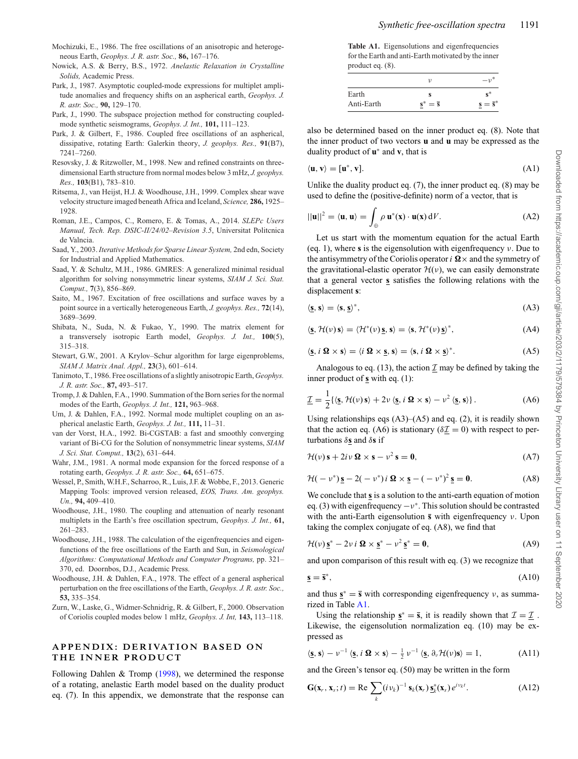- <span id="page-12-10"></span>Mochizuki, E., 1986. The free oscillations of an anisotropic and heterogeneous Earth, *Geophys. J. R. astr. Soc.,* **86,** 167–176.
- <span id="page-12-7"></span>Nowick, A.S. & Berry, B.S., 1972. *Anelastic Relaxation in Crystalline Solids,* Academic Press.
- <span id="page-12-2"></span>Park, J., 1987. Asymptotic coupled-mode expressions for multiplet amplitude anomalies and frequency shifts on an aspherical earth, *Geophys. J. R. astr. Soc.,* **90,** 129–170.
- <span id="page-12-3"></span>Park, J., 1990. The subspace projection method for constructing coupledmode synthetic seismograms, *Geophys. J. Int.,* **101,** 111–123.
- <span id="page-12-1"></span>Park, J. & Gilbert, F., 1986. Coupled free oscillations of an aspherical, dissipative, rotating Earth: Galerkin theory, *J. geophys. Res.,* **91**(B7), 7241–7260.
- <span id="page-12-6"></span>Resovsky, J. & Ritzwoller, M., 1998. New and refined constraints on threedimensional Earth structure from normal modes below 3 mHz, *J. geophys. Res.,* **103**(B1), 783–810.
- <span id="page-12-14"></span>Ritsema, J., van Heijst, H.J. & Woodhouse, J.H., 1999. Complex shear wave velocity structure imaged beneath Africa and Iceland, *Science,* **286,** 1925– 1928.
- <span id="page-12-20"></span>Roman, J.E., Campos, C., Romero, E. & Tomas, A., 2014. *SLEPc Users Manual, Tech. Rep. DSIC-II/24/02–Revision 3.5*, Universitat Politcnica de Valncia.
- <span id="page-12-16"></span>Saad, Y., 2003. *Iterative Methods for Sparse Linear System,* 2nd edn, Society for Industrial and Applied Mathematics.
- <span id="page-12-18"></span>Saad, Y. & Schultz, M.H., 1986. GMRES: A generalized minimal residual algorithm for solving nonsymmetric linear systems, *SIAM J. Sci. Stat. Comput.,* **7**(3), 856–869.
- <span id="page-12-13"></span>Saito, M., 1967. Excitation of free oscillations and surface waves by a point source in a vertically heterogeneous Earth, *J. geophys. Res.,* **72**(14), 3689–3699.
- <span id="page-12-12"></span>Shibata, N., Suda, N. & Fukao, Y., 1990. The matrix element for a transversely isotropic Earth model, *Geophys. J. Int.,* **100**(5), 315–318.
- <span id="page-12-17"></span>Stewart, G.W., 2001. A Krylov–Schur algorithm for large eigenproblems, *SIAM J. Matrix Anal. Appl.,* **23**(3), 601–614.
- <span id="page-12-11"></span>Tanimoto, T., 1986. Free oscillations of a slightly anisotropic Earth, *Geophys. J. R. astr. Soc.,* **87,** 493–517.
- <span id="page-12-5"></span>Tromp, J. & Dahlen, F.A., 1990. Summation of the Born series for the normal modes of the Earth, *Geophys. J. Int.,* **121,** 963–968.
- <span id="page-12-4"></span>Um, J. & Dahlen, F.A., 1992. Normal mode multiplet coupling on an aspherical anelastic Earth, *Geophys. J. Int.,* **111,** 11–31.
- <span id="page-12-19"></span>van der Vorst, H.A., 1992. Bi-CGSTAB: a fast and smoothly converging variant of Bi-CG for the Solution of nonsymmetric linear systems, *SIAM J. Sci. Stat. Comput.,* **13**(2), 631–644.
- <span id="page-12-15"></span>Wahr, J.M., 1981. A normal mode expansion for the forced response of a rotating earth, *Geophys. J. R. astr. Soc.,* **64,** 651–675.
- <span id="page-12-22"></span>Wessel, P., Smith, W.H.F., Scharroo, R., Luis, J.F. & Wobbe, F., 2013. Generic Mapping Tools: improved version released, *EOS, Trans. Am. geophys. Un.,* **94,** 409–410.
- <span id="page-12-0"></span>Woodhouse, J.H., 1980. The coupling and attenuation of nearly resonant multiplets in the Earth's free oscillation spectrum, *Geophys. J. Int.,* **61,** 261–283.
- <span id="page-12-8"></span>Woodhouse, J.H., 1988. The calculation of the eigenfrequencies and eigenfunctions of the free oscillations of the Earth and Sun, in *Seismological Algorithms: Computational Methods and Computer Programs,* pp. 321– 370, ed. Doornbos, D.J., Academic Press.
- <span id="page-12-9"></span>Woodhouse, J.H. & Dahlen, F.A., 1978. The effect of a general aspherical perturbation on the free oscillations of the Earth, *Geophys. J. R. astr. Soc.,* **53,** 335–354.
- <span id="page-12-21"></span>Zurn, W., Laske, G., Widmer-Schnidrig, R. & Gilbert, F., 2000. Observation of Coriolis coupled modes below 1 mHz, *Geophys. J. Int,* **143,** 113–118.

## **APPENDIX: DERIVATION BASED ON THE INNER PRODUCT**

Following Dahlen & Tromp  $(1998)$ , we determined the response of a rotating, anelastic Earth model based on the duality product eq. (7). In this appendix, we demonstrate that the response can

<span id="page-12-23"></span>**Table A1.** Eigensolutions and eigenfrequencies for the Earth and anti-Earth motivated by the inner product eq. (8).

| Earth      |                      | $s^*$                            |
|------------|----------------------|----------------------------------|
| Anti-Earth | $s^* = \overline{s}$ | $\underline{s} = \overline{s}^*$ |

also be determined based on the inner product eq. (8). Note that the inner product of two vectors **u** and **u** may be expressed as the duality product of **u**<sup>∗</sup> and **v**, that is

$$
\langle \mathbf{u}, \mathbf{v} \rangle = [\mathbf{u}^*, \mathbf{v}]. \tag{A1}
$$

Unlike the duality product eq. (7), the inner product eq. (8) may be used to define the (positive-definite) norm of a vector, that is

$$
||\mathbf{u}||^2 = \langle \mathbf{u}, \mathbf{u} \rangle = \int_{\oplus} \rho \, \mathbf{u}^*(\mathbf{x}) \cdot \mathbf{u}(\mathbf{x}) \, dV. \tag{A2}
$$

Let us start with the momentum equation for the actual Earth (eq. 1), where **s** is the eigensolution with eigenfrequency ν. Due to the antisymmetry of the Coriolis operator  $i \Omega \times$  and the symmetry of the gravitational-elastic operator  $\mathcal{H}(\nu)$ , we can easily demonstrate that a general vector **s** satisfies the following relations with the displacement **s**:

$$
\langle \underline{\mathbf{s}}, \mathbf{s} \rangle = \langle \mathbf{s}, \underline{\mathbf{s}} \rangle^*, \tag{A3}
$$

$$
\langle \mathbf{s}, \mathcal{H}(\nu) \mathbf{s} \rangle = \langle \mathcal{H}^*(\nu) \mathbf{s}, \mathbf{s} \rangle = \langle \mathbf{s}, \mathcal{H}^*(\nu) \mathbf{s} \rangle^*, \tag{A4}
$$

$$
\langle \underline{\mathbf{s}}, i \ \Omega \times \mathbf{s} \rangle = \langle i \ \Omega \times \underline{\mathbf{s}}, \mathbf{s} \rangle = \langle \mathbf{s}, i \ \Omega \times \underline{\mathbf{s}} \rangle^*.
$$
 (A5)

Analogous to eq. (13), the action  $\mathcal I$  may be defined by taking the inner product of **s** with eq. (1):

$$
\underline{\mathcal{I}} = \frac{1}{2} \{ \langle \mathbf{s}, \mathcal{H}(\nu) \mathbf{s} \rangle + 2\nu \langle \mathbf{s}, i \mathbf{\Omega} \times \mathbf{s} \rangle - \nu^2 \langle \mathbf{s}, \mathbf{s} \rangle \}. \tag{A6}
$$

Using relationships eqs  $(A3)$ – $(A5)$  and eq. (2), it is readily shown that the action eq. (A6) is stationary ( $\delta \mathcal{I} = 0$ ) with respect to perturbations δ**s** and δ**s** if

$$
\mathcal{H}(\nu)\,\mathbf{s} + 2i\,\nu\,\mathbf{\Omega} \times \mathbf{s} - \nu^2\,\mathbf{s} = \mathbf{0},\tag{A7}
$$

$$
\mathcal{H}(-\nu^*)\underline{\mathbf{s}} - 2(-\nu^*)i\,\,\mathbf{\Omega}\times\underline{\mathbf{s}} - (-\nu^*)^2\underline{\mathbf{s}} = \mathbf{0}.\tag{A8}
$$

We conclude that **s** is a solution to the anti-earth equation of motion eq. (3) with eigenfrequency  $-v^*$ . This solution should be contrasted with the anti-Earth eigensolution **s** with eigenfrequency ν. Upon taking the complex conjugate of eq. (A8), we find that

$$
\mathcal{H}(\nu)\underline{\mathbf{s}}^* - 2\nu i \,\Omega \times \underline{\mathbf{s}}^* - \nu^2 \,\underline{\mathbf{s}}^* = 0,\tag{A9}
$$

and upon comparison of this result with eq. (3) we recognize that

$$
\underline{\mathbf{s}} = \overline{\mathbf{s}}^*,\tag{A10}
$$

and thus  $\mathbf{s}^* = \mathbf{\bar{s}}$  with corresponding eigenfrequency  $v$ , as summarized in Table [A1.](#page-12-23)

Using the relationship  $\mathbf{s}^* = \bar{\mathbf{s}}$ , it is readily shown that  $\mathcal{I} = \mathcal{I}$ . Likewise, the eigensolution normalization eq. (10) may be expressed as

$$
\langle \mathbf{\underline{s}}, \mathbf{s} \rangle - v^{-1} \langle \mathbf{\underline{s}}, i \mathbf{\Omega} \times \mathbf{s} \rangle - \frac{1}{2} v^{-1} \langle \mathbf{\underline{s}}, \partial_{\nu} \mathcal{H}(\nu) \mathbf{s} \rangle = 1, \tag{A11}
$$

and the Green's tensor eq. (50) may be written in the form

$$
\mathbf{G}(\mathbf{x}_r, \mathbf{x}_s; t) = \text{Re} \sum_{k} (i v_k)^{-1} \, \mathbf{s}_k(\mathbf{x}_r) \, \mathbf{s}_k^*(\mathbf{x}_s) \, e^{i v_k t}.
$$
 (A12)